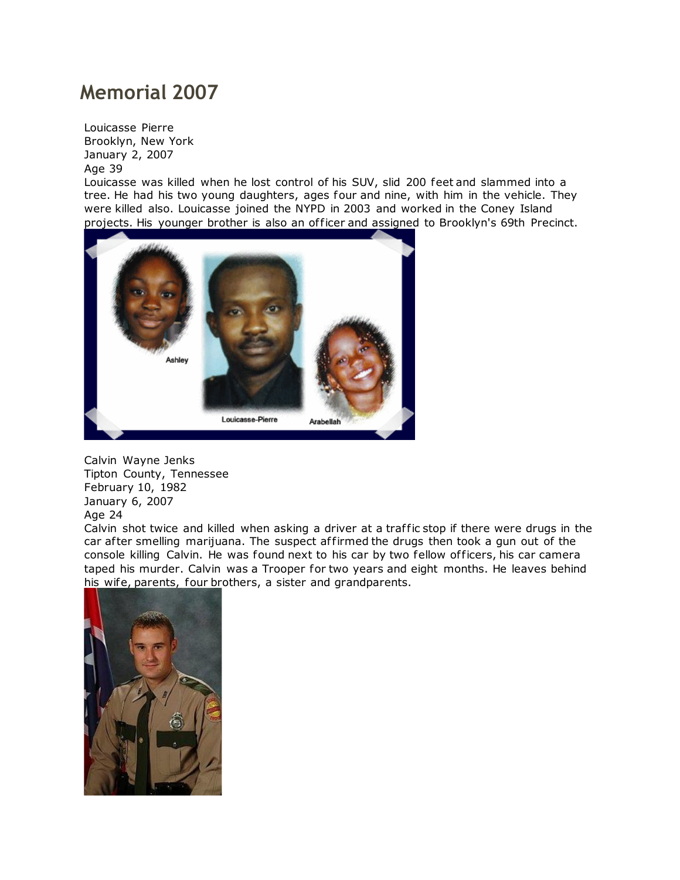## **Memorial 2007**

Louicasse Pierre Brooklyn, New York January 2, 2007 Age 39

Louicasse was killed when he lost control of his SUV, slid 200 feet and slammed into a tree. He had his two young daughters, ages four and nine, with him in the vehicle. They were killed also. Louicasse joined the NYPD in 2003 and worked in the Coney Island projects. His younger brother is also an of ficer and assigned to Brooklyn's 69th Precinct.



Calvin Wayne Jenks Tipton County, Tennessee February 10, 1982 January 6, 2007 Age 24

Calvin shot twice and killed when asking a driver at a traffic stop if there were drugs in the car after smelling marijuana. The suspect affirmed the drugs then took a gun out of the console killing Calvin. He was found next to his car by two fellow of ficers, his car camera taped his murder. Calvin was a Trooper for two years and eight months. He leaves behind [his wife, parents, four broth](http://www.copadorer.com/memorials/2007.html#thumb)ers, a sister and grandparents.

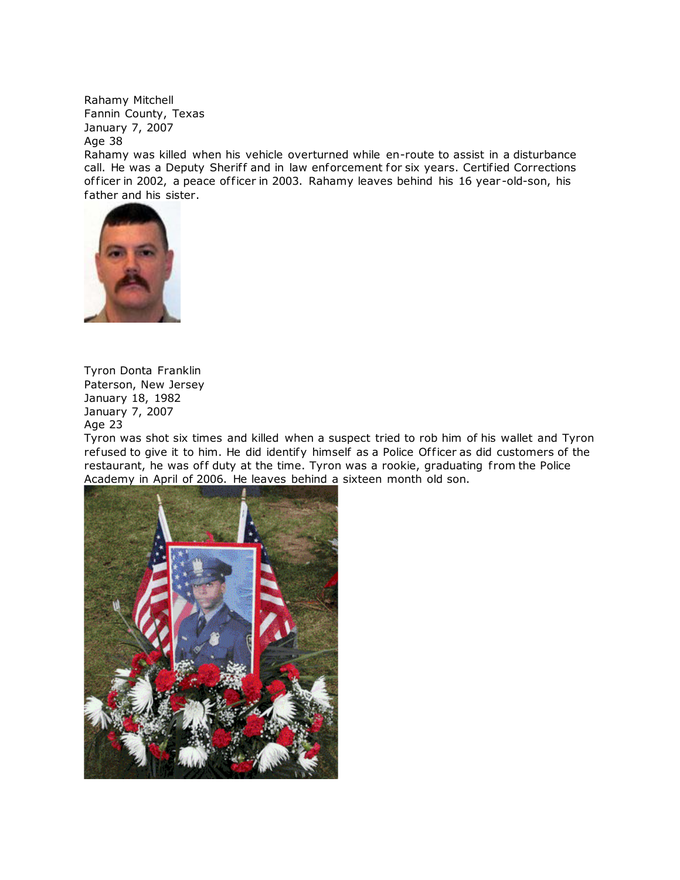Rahamy Mitchell Fannin County, Texas January 7, 2007 Age 38

Rahamy was killed when his vehicle overturned while en-route to assist in a disturbance call. He was a Deputy Sheriff and in law enforcement for six years. Certified Corrections officer in 2002, a peace officer in 2003. Rahamy leaves behind his 16 year-old-son, his [father and his sister](http://www.copadorer.com/memorials/2007.html#thumb).



Tyron Donta Franklin Paterson, New Jersey January 18, 1982 January 7, 2007 Age 23

Tyron was shot six times and killed when a suspect tried to rob him of his wallet and Tyron refused to give it to him. He did identify himself as a Police Officer as did customers of the restaurant, he was off duty at the time. Tyron was a rookie, graduating from the Police Academy in April of 2006. He leaves behind a sixteen month old son.

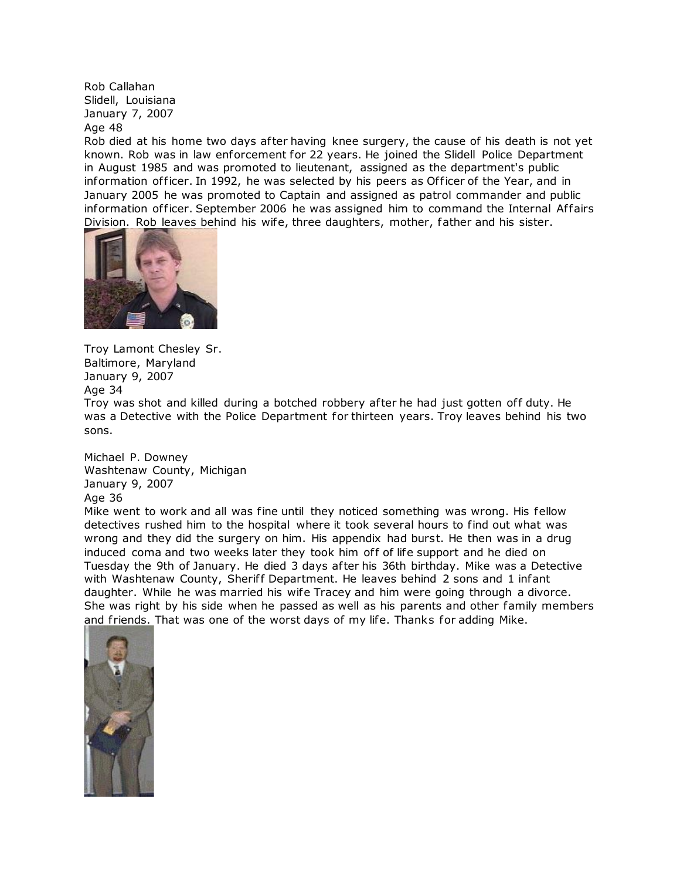Rob Callahan Slidell, Louisiana January 7, 2007

## Age 48

Rob died at his home two days after having knee surgery, the cause of his death is not yet known. Rob was in law enforcement for 22 years. He joined the Slidell Police Department in August 1985 and was promoted to lieutenant, assigned as the department's public information officer. In 1992, he was selected by his peers as Officer of the Year, and in January 2005 he was promoted to Captain and assigned as patrol commander and public information of ficer. September 2006 he was assigned him to command the Internal Affairs Division. Rob leaves behind his wife, three daughters, mother, father and his sister.



Troy Lamont Chesley Sr. Baltimore, Maryland January 9, 2007 Age 34

Troy was shot and killed during a botched robbery after he had just gotten off duty. He was a Detective with the Police Department for thirteen years. Troy leaves behind his two sons.

Michael P. Downey Washtenaw County, Michigan January 9, 2007 Age 36

Mike went to work and all was fine until they noticed something was wrong. His fellow detectives rushed him to the hospital where it took several hours to find out what was wrong and they did the surgery on him. His appendix had burst. He then was in a drug induced coma and two weeks later they took him off of life support and he died on Tuesday the 9th of January. He died 3 days after his 36th birthday. Mike was a Detective with Washtenaw County, Sheriff Department. He leaves behind 2 sons and 1 infant daughter. While he was married his wife Tracey and him were going through a divorce. She was right by his side when he passed as well as his parents and other family members and friends. That was one of the worst days of my life. Thanks for adding Mike.

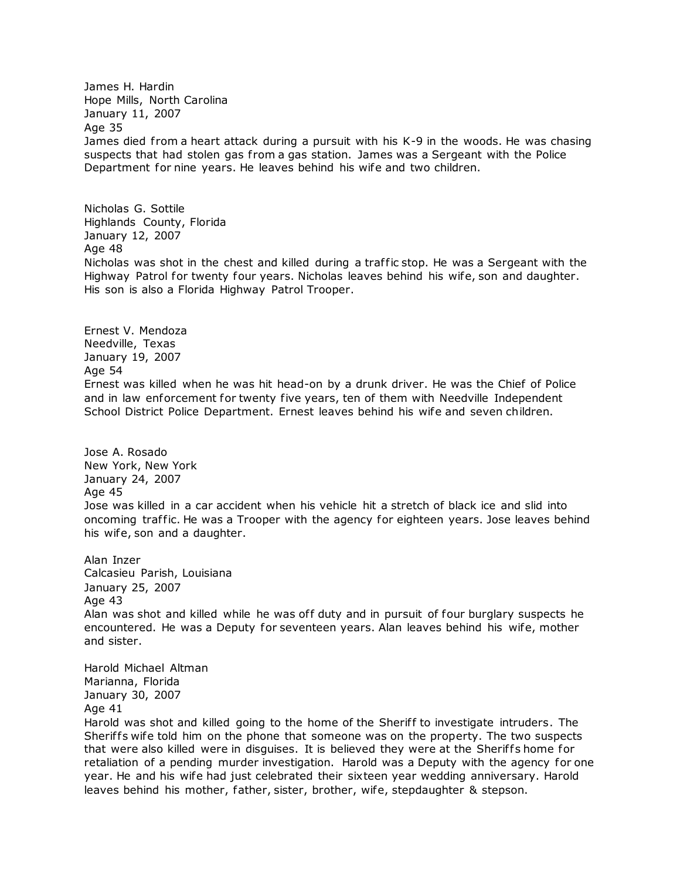James H. Hardin Hope Mills, North Carolina January 11, 2007 Age 35 James died from a heart attack during a pursuit with his K-9 in the woods. He was chasing suspects that had stolen gas from a gas station. James was a Sergeant with the Police Department for nine years. He leaves behind his wife and two children.

Nicholas G. Sottile Highlands County, Florida January 12, 2007 Age 48 Nicholas was shot in the chest and killed during a traffic stop. He was a Sergeant with the Highway Patrol for twenty four years. Nicholas leaves behind his wife, son and daughter. His son is also a Florida Highway Patrol Trooper.

Ernest V. Mendoza Needville, Texas January 19, 2007 Age 54 Ernest was killed when he was hit head-on by a drunk driver. He was the Chief of Police and in law enforcement for twenty five years, ten of them with Needville Independent School District Police Department. Ernest leaves behind his wife and seven children.

Jose A. Rosado New York, New York January 24, 2007 Age 45 Jose was killed in a car accident when his vehicle hit a stretch of black ice and slid into oncoming traffic. He was a Trooper with the agency for eighteen years. Jose leaves behind his wife, son and a daughter.

Alan Inzer Calcasieu Parish, Louisiana January 25, 2007 Age 43 Alan was shot and killed while he was off duty and in pursuit of four burglary suspects he encountered. He was a Deputy for seventeen years. Alan leaves behind his wife, mother and sister.

Harold Michael Altman Marianna, Florida January 30, 2007 Age 41

Harold was shot and killed going to the home of the Sheriff to investigate intruders. The Sheriffs wife told him on the phone that someone was on the property. The two suspects that were also killed were in disquises. It is believed they were at the Sheriffs home for retaliation of a pending murder investigation. Harold was a Deputy with the agency for one year. He and his wife had just celebrated their sixteen year wedding anniversary. Harold leaves behind his mother, father, sister, brother, wife, stepdaughter & stepson.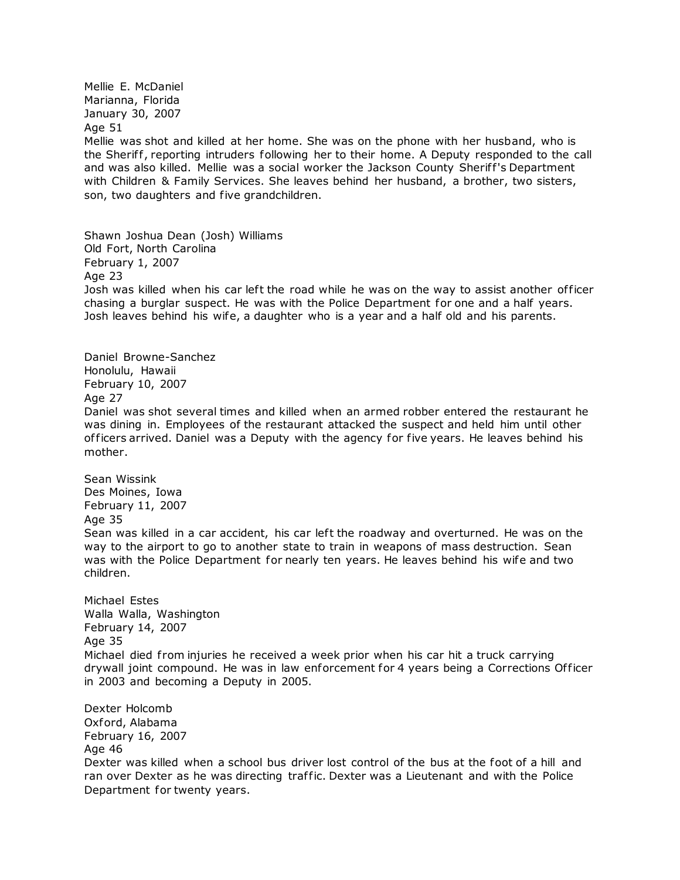Mellie E. McDaniel Marianna, Florida January 30, 2007

Age 51

Mellie was shot and killed at her home. She was on the phone with her husband, who is the Sheriff, reporting intruders following her to their home. A Deputy responded to the call and was also killed. Mellie was a social worker the Jackson County Sheriff's Department with Children & Family Services. She leaves behind her husband, a brother, two sisters, son, two daughters and five grandchildren.

Shawn Joshua Dean (Josh) Williams Old Fort, North Carolina February 1, 2007 Age 23 Josh was killed when his car left the road while he was on the way to assist another officer chasing a burglar suspect. He was with the Police Department for one and a half years. Josh leaves behind his wife, a daughter who is a year and a half old and his parents.

Daniel Browne-Sanchez Honolulu, Hawaii February 10, 2007 Age 27 Daniel was shot several times and killed when an armed robber entered the restaurant he was dining in. Employees of the restaurant attacked the suspect and held him until other of ficers arrived. Daniel was a Deputy with the agency for five years. He leaves behind his mother.

Sean Wissink Des Moines, Iowa February 11, 2007 Age 35 Sean was killed in a car accident, his car left the roadway and overturned. He was on the way to the airport to go to another state to train in weapons of mass destruction. Sean was with the Police Department for nearly ten years. He leaves behind his wife and two children.

Michael Estes Walla Walla, Washington February 14, 2007 Age 35 Michael died from injuries he received a week prior when his car hit a truck carrying drywall joint compound. He was in law enforcement for 4 years being a Corrections Of ficer in 2003 and becoming a Deputy in 2005.

Dexter Holcomb Oxford, Alabama February 16, 2007 Age 46 Dexter was killed when a school bus driver lost control of the bus at the foot of a hill and ran over Dexter as he was directing traffic. Dexter was a Lieutenant and with the Police Department for twenty years.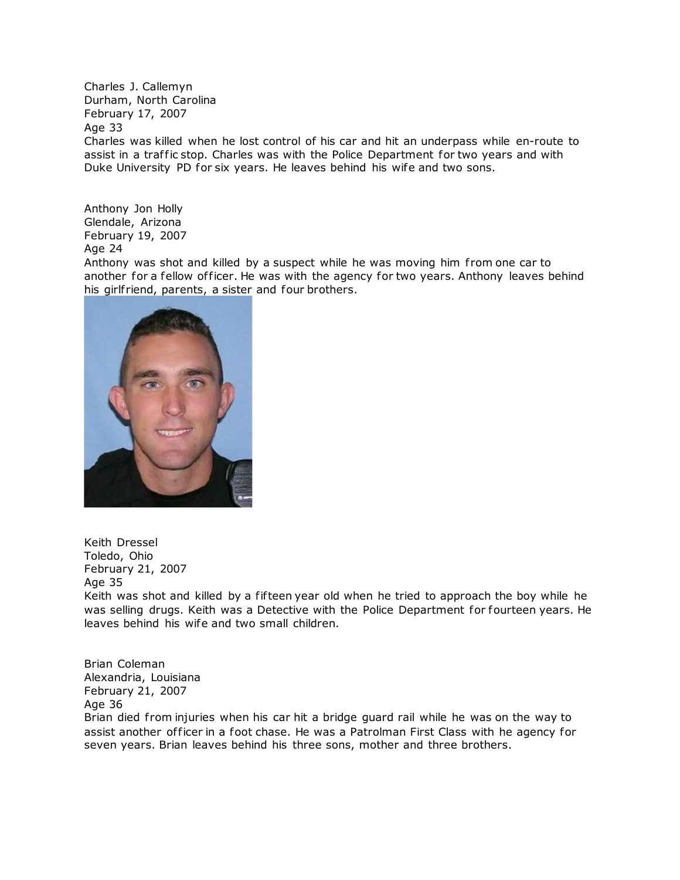Charles J. Callemyn Durham, North Carolina February 17, 2007 Age 33 Charles was killed when he lost control of his car and hit an underpass while en-route to assist in a traffic stop. Charles was with the Police Department for two years and with Duke University PD for six years. He leaves behind his wife and two sons.

Anthony Jon Holly Glendale, Arizona February 19, 2007 Age 24

Anthony was shot and killed by a suspect while he was moving him from one car to another for a fellow officer. He was with the agency for two years. Anthony leaves behind his girlfriend, parents, a sister and four brothers.



Keith Dressel Toledo, Ohio February 21, 2007 Age 35 Keith was shot and killed by a fifteen year old when he tried to approach the boy while he was selling drugs. Keith was a Detective with the Police Department for fourteen years. He leaves behind his wife and two small children.

Brian Coleman Alexandria, Louisiana February 21, 2007 Age 36

Brian died from injuries when his car hit a bridge guard rail while he was on the way to assist another officer in a foot chase. He was a Patrolman First Class with he agency for seven years. Brian leaves behind his three sons, mother and three brothers.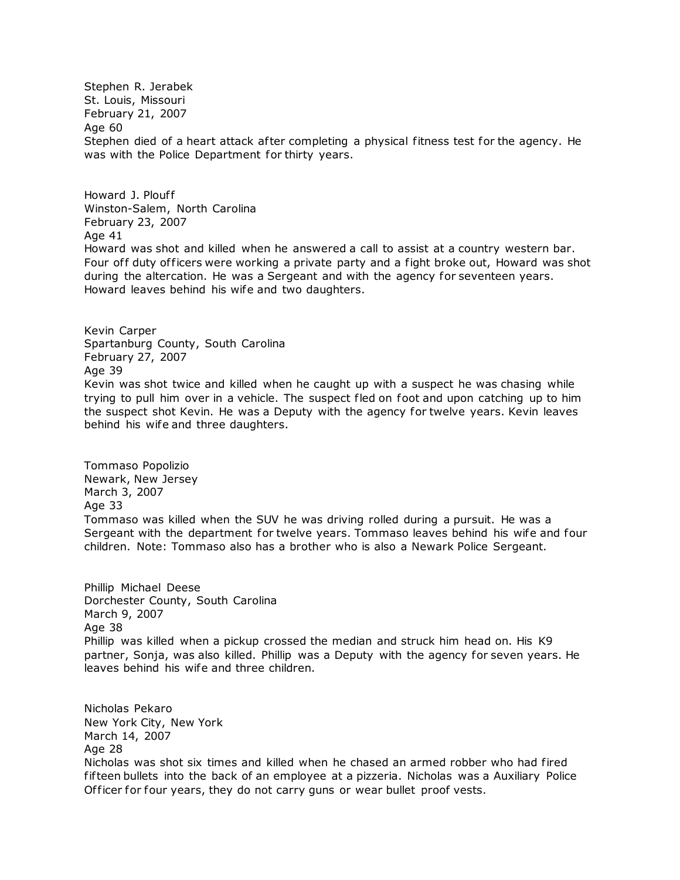Stephen R. Jerabek St. Louis, Missouri February 21, 2007 Age 60 Stephen died of a heart attack after completing a physical fitness test for the agency. He was with the Police Department for thirty years.

Howard J. Plouff Winston-Salem, North Carolina February 23, 2007 Age 41 Howard was shot and killed when he answered a call to assist at a country western bar. Four off duty officers were working a private party and a fight broke out, Howard was shot during the altercation. He was a Sergeant and with the agency for seventeen years.

Howard leaves behind his wife and two daughters.

Kevin Carper Spartanburg County, South Carolina February 27, 2007 Age 39 Kevin was shot twice and killed when he caught up with a suspect he was chasing while trying to pull him over in a vehicle. The suspect fled on foot and upon catching up to him the suspect shot Kevin. He was a Deputy with the agency for twelve years. Kevin leaves behind his wife and three daughters.

Tommaso Popolizio Newark, New Jersey March 3, 2007 Age 33 Tommaso was killed when the SUV he was driving rolled during a pursuit. He was a Sergeant with the department for twelve years. Tommaso leaves behind his wife and four children. Note: Tommaso also has a brother who is also a Newark Police Sergeant.

Phillip Michael Deese Dorchester County, South Carolina March 9, 2007 Age 38 Phillip was killed when a pickup crossed the median and struck him head on. His K9 partner, Sonja, was also killed. Phillip was a Deputy with the agency for seven years. He leaves behind his wife and three children.

Nicholas Pekaro New York City, New York March 14, 2007 Age 28 Nicholas was shot six times and killed when he chased an armed robber who had fired fifteen bullets into the back of an employee at a pizzeria. Nicholas was a Auxiliary Police Officer for four years, they do not carry guns or wear bullet proof vests.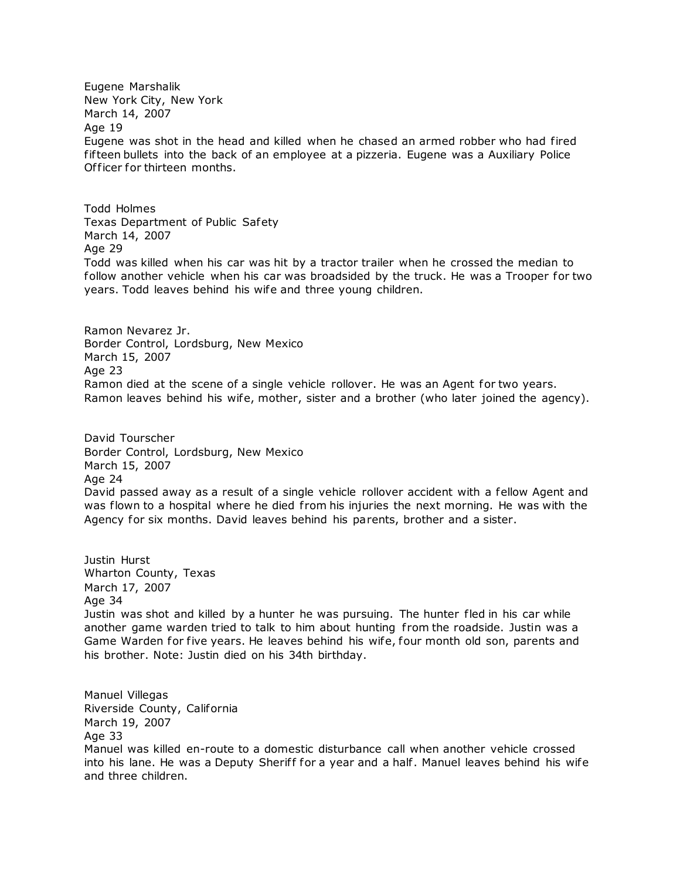Eugene Marshalik New York City, New York March 14, 2007 Age 19 Eugene was shot in the head and killed when he chased an armed robber who had fired fifteen bullets into the back of an employee at a pizzeria. Eugene was a Auxiliary Police Officer for thirteen months.

Todd Holmes Texas Department of Public Safety March 14, 2007 Age 29 Todd was killed when his car was hit by a tractor trailer when he crossed the median to follow another vehicle when his car was broadsided by the truck. He was a Trooper for two years. Todd leaves behind his wife and three young children.

Ramon Nevarez Jr. Border Control, Lordsburg, New Mexico March 15, 2007 Age 23 Ramon died at the scene of a single vehicle rollover. He was an Agent for two years. Ramon leaves behind his wife, mother, sister and a brother (who later joined the agency).

David Tourscher Border Control, Lordsburg, New Mexico March 15, 2007 Age 24 David passed away as a result of a single vehicle rollover accident with a fellow Agent and was flown to a hospital where he died from his injuries the next morning. He was with the Agency for six months. David leaves behind his parents, brother and a sister.

Justin Hurst Wharton County, Texas March 17, 2007 Age 34 Justin was shot and killed by a hunter he was pursuing. The hunter fled in his car while another game warden tried to talk to him about hunting from the roadside. Justin was a Game Warden for five years. He leaves behind his wife, four month old son, parents and his brother. Note: Justin died on his 34th birthday.

Manuel Villegas Riverside County, California March 19, 2007 Age 33 Manuel was killed en-route to a domestic disturbance call when another vehicle crossed into his lane. He was a Deputy Sheriff for a year and a half. Manuel leaves behind his wife and three children.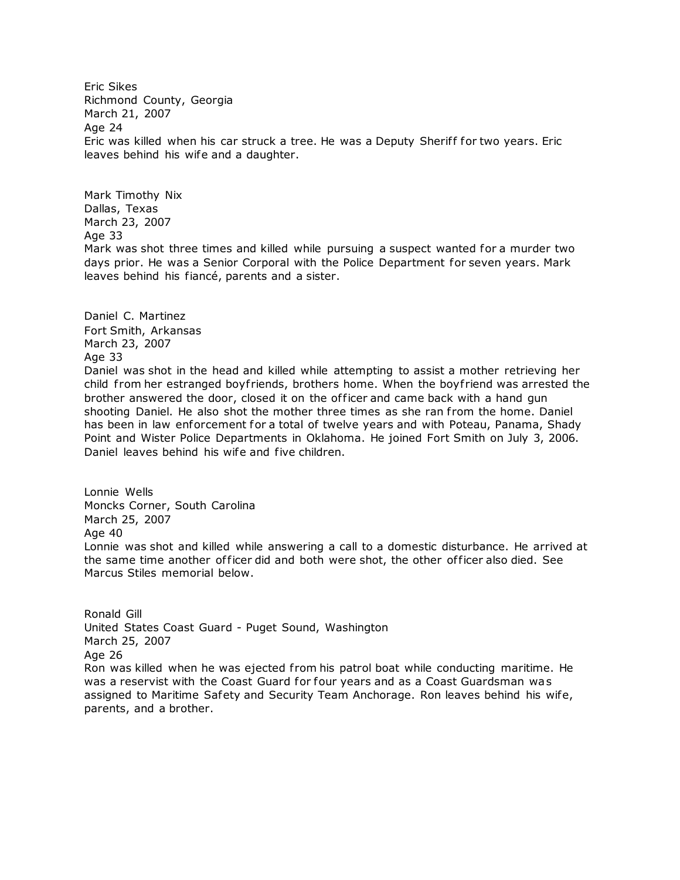Eric Sikes Richmond County, Georgia March 21, 2007 Age 24 Eric was killed when his car struck a tree. He was a Deputy Sheriff for two years. Eric leaves behind his wife and a daughter.

Mark Timothy Nix Dallas, Texas March 23, 2007 Age 33 Mark was shot three times and killed while pursuing a suspect wanted for a murder two days prior. He was a Senior Corporal with the Police Department for seven years. Mark leaves behind his fiancé, parents and a sister.

Daniel C. Martinez Fort Smith, Arkansas March 23, 2007 Age 33 Daniel was shot in the head and killed while attempting to assist a mother retrieving her child from her estranged boyfriends, brothers home. When the boyfriend was arrested the brother answered the door, closed it on the of ficer and came back with a hand gun shooting Daniel. He also shot the mother three times as she ran from the home. Daniel has been in law enforcement for a total of twelve years and with Poteau, Panama, Shady Point and Wister Police Departments in Oklahoma. He joined Fort Smith on July 3, 2006. Daniel leaves behind his wife and five children.

Lonnie Wells Moncks Corner, South Carolina March 25, 2007 Age 40 Lonnie was shot and killed while answering a call to a domestic disturbance. He arrived at the same time another of ficer did and both were shot, the other of ficer also died. See Marcus Stiles memorial below.

Ronald Gill United States Coast Guard - Puget Sound, Washington March 25, 2007 Age 26 Ron was killed when he was ejected from his patrol boat while conducting maritime. He was a reservist with the Coast Guard for four years and as a Coast Guardsman was assigned to Maritime Safety and Security Team Anchorage. Ron leaves behind his wife, parents, and a brother.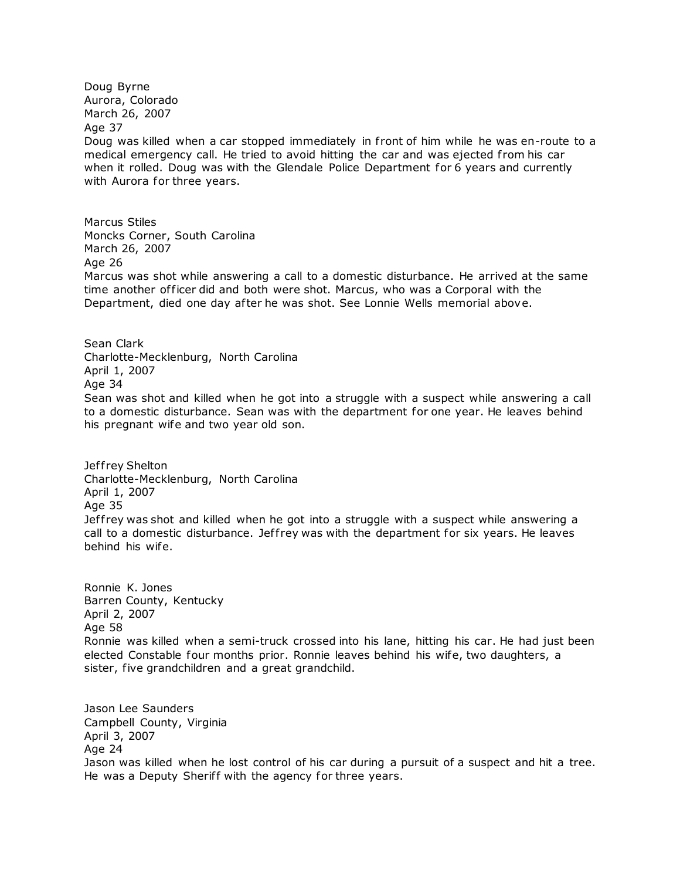Doug Byrne Aurora, Colorado March 26, 2007 Age 37 Doug was killed when a car stopped immediately in front of him while he was en-route to a medical emergency call. He tried to avoid hitting the car and was ejected from his car when it rolled. Doug was with the Glendale Police Department for 6 years and currently with Aurora for three years.

Marcus Stiles Moncks Corner, South Carolina March 26, 2007 Age 26 Marcus was shot while answering a call to a domestic disturbance. He arrived at the same time another of ficer did and both were shot. Marcus, who was a Corporal with the Department, died one day after he was shot. See Lonnie Wells memorial above.

Sean Clark Charlotte-Mecklenburg, North Carolina April 1, 2007 Age 34 Sean was shot and killed when he got into a struggle with a suspect while answering a call to a domestic disturbance. Sean was with the department for one year. He leaves behind his pregnant wife and two year old son.

Jeffrey Shelton Charlotte-Mecklenburg, North Carolina April 1, 2007 Age 35 Jeffrey was shot and killed when he got into a struggle with a suspect while answering a call to a domestic disturbance. Jeffrey was with the department for six years. He leaves behind his wife.

Ronnie K. Jones Barren County, Kentucky April 2, 2007 Age 58 Ronnie was killed when a semi-truck crossed into his lane, hitting his car. He had just been elected Constable four months prior. Ronnie leaves behind his wife, two daughters, a sister, five grandchildren and a great grandchild.

Jason Lee Saunders Campbell County, Virginia April 3, 2007 Age 24 Jason was killed when he lost control of his car during a pursuit of a suspect and hit a tree. He was a Deputy Sheriff with the agency for three years.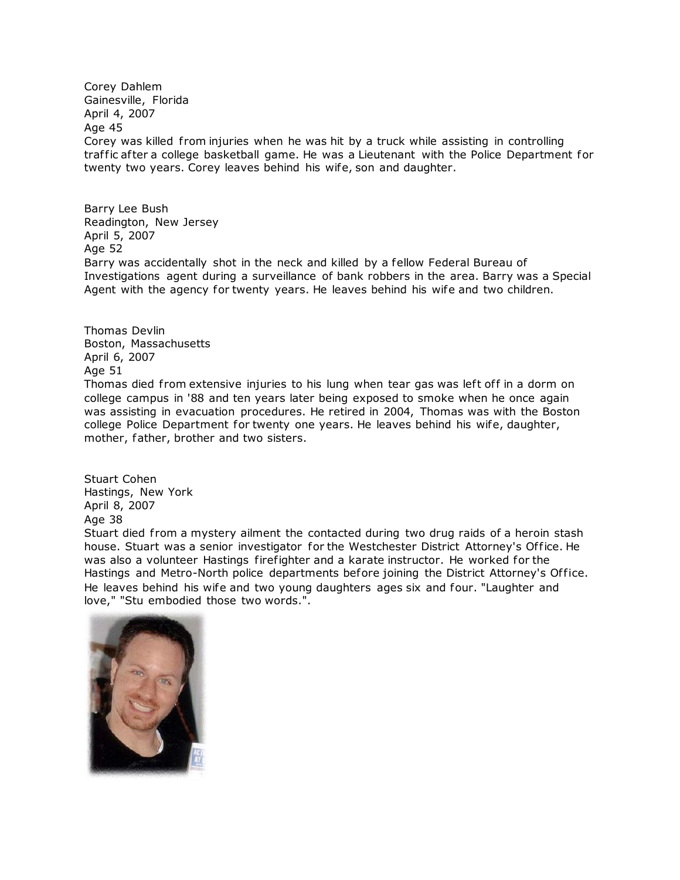Corey Dahlem Gainesville, Florida April 4, 2007 Age 45 Corey was killed from injuries when he was hit by a truck while assisting in controlling traffic after a college basketball game. He was a Lieutenant with the Police Department for twenty two years. Corey leaves behind his wife, son and daughter.

Barry Lee Bush Readington, New Jersey April 5, 2007 Age 52 Barry was accidentally shot in the neck and killed by a fellow Federal Bureau of Investigations agent during a surveillance of bank robbers in the area. Barry was a Special Agent with the agency for twenty years. He leaves behind his wife and two children.

Thomas Devlin Boston, Massachusetts April 6, 2007 Age 51 Thomas died from extensive injuries to his lung when tear gas was left off in a dorm on college campus in '88 and ten years later being exposed to smoke when he once again was assisting in evacuation procedures. He retired in 2004, Thomas was with the Boston college Police Department for twenty one years. He leaves behind his wife, daughter, mother, father, brother and two sisters.

Stuart Cohen Hastings, New York April 8, 2007 Age 38

Stuart died from a mystery ailment the contacted during two drug raids of a heroin stash house. Stuart was a senior investigator for the Westchester District Attorney's Office. He was also a volunteer Hastings firefighter and a karate instructor. He worked for the Hastings and Metro-North police departments before joining the District Attorney's Office. He leaves behind his wife and two young daughters ages six and four. "Laughter and love," "Stu embodied those two words.".

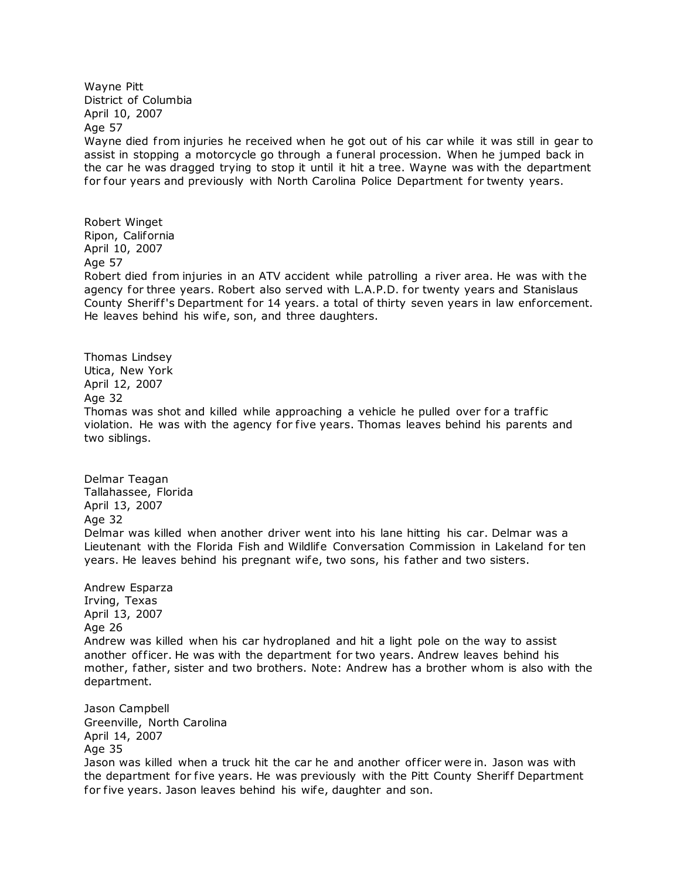Wayne Pitt District of Columbia April 10, 2007 Age 57

Wayne died from injuries he received when he got out of his car while it was still in gear to assist in stopping a motorcycle go through a funeral procession. When he jumped back in the car he was dragged trying to stop it until it hit a tree. Wayne was with the department for four years and previously with North Carolina Police Department for twenty years.

Robert Winget Ripon, California April 10, 2007 Age 57 Robert died from injuries in an ATV accident while patrolling a river area. He was with the agency for three years. Robert also served with L.A.P.D. for twenty years and Stanislaus County Sheriff's Department for 14 years. a total of thirty seven years in law enforcement. He leaves behind his wife, son, and three daughters.

Thomas Lindsey Utica, New York April 12, 2007 Age 32 Thomas was shot and killed while approaching a vehicle he pulled over for a traffic violation. He was with the agency for five years. Thomas leaves behind his parents and two siblings.

Delmar Teagan Tallahassee, Florida April 13, 2007 Age 32 Delmar was killed when another driver went into his lane hitting his car. Delmar was a Lieutenant with the Florida Fish and Wildlife Conversation Commission in Lakeland for ten years. He leaves behind his pregnant wife, two sons, his father and two sisters.

Andrew Esparza Irving, Texas April 13, 2007 Age 26 Andrew was killed when his car hydroplaned and hit a light pole on the way to assist another officer. He was with the department for two years. Andrew leaves behind his mother, father, sister and two brothers. Note: Andrew has a brother whom is also with the department.

Jason Campbell Greenville, North Carolina April 14, 2007 Age 35 Jason was killed when a truck hit the car he and another of ficer were in. Jason was with the department for five years. He was previously with the Pitt County Sheriff Department for five years. Jason leaves behind his wife, daughter and son.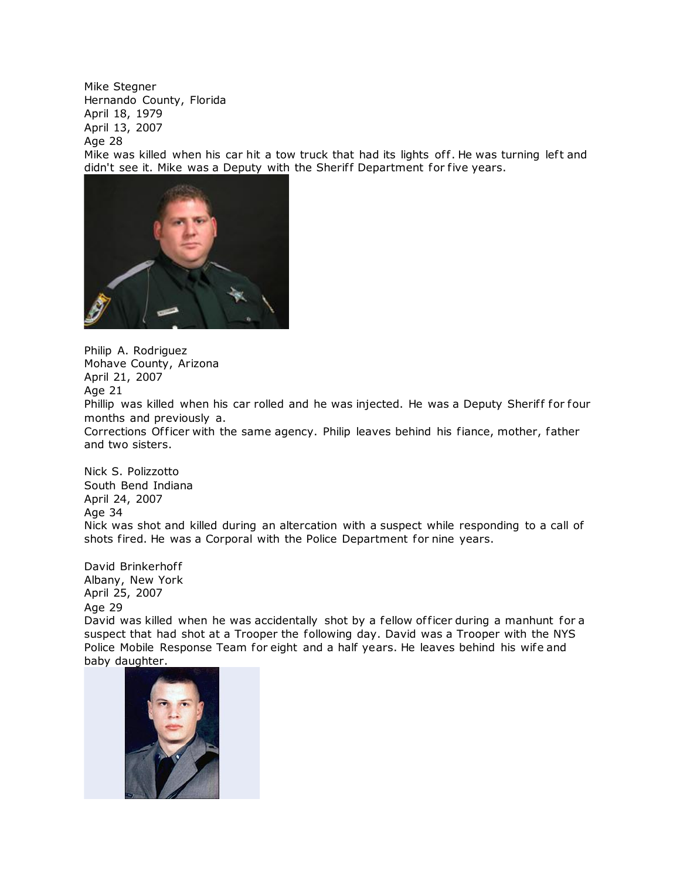Mike Stegner Hernando County, Florida April 18, 1979 April 13, 2007 Age 28 Mike was killed when his car hit a tow truck that had its lights off. He was turning left and didn't see it. Mike was a Deputy with the Sheriff Department for five years.



Philip A. Rodriguez Mohave County, Arizona April 21, 2007 Age 21

Phillip was killed when his car rolled and he was injected. He was a Deputy Sheriff for four months and previously a.

Corrections Of ficer with the same agency. Philip leaves behind his fiance, mother, father and two sisters.

Nick S. Polizzotto South Bend Indiana April 24, 2007 Age 34 Nick was shot and killed during an altercation with a suspect while responding to a call of shots fired. He was a Corporal with the Police Department for nine years.

David Brinkerhoff Albany, New York April 25, 2007 Age 29 David was killed when he was accidentally shot by a fellow of ficer during a manhunt for a suspect that had shot at a Trooper the following day. David was a Trooper with the NYS Police Mobile Response Team for eight and a half years. He leaves behind his wife and baby daughter.

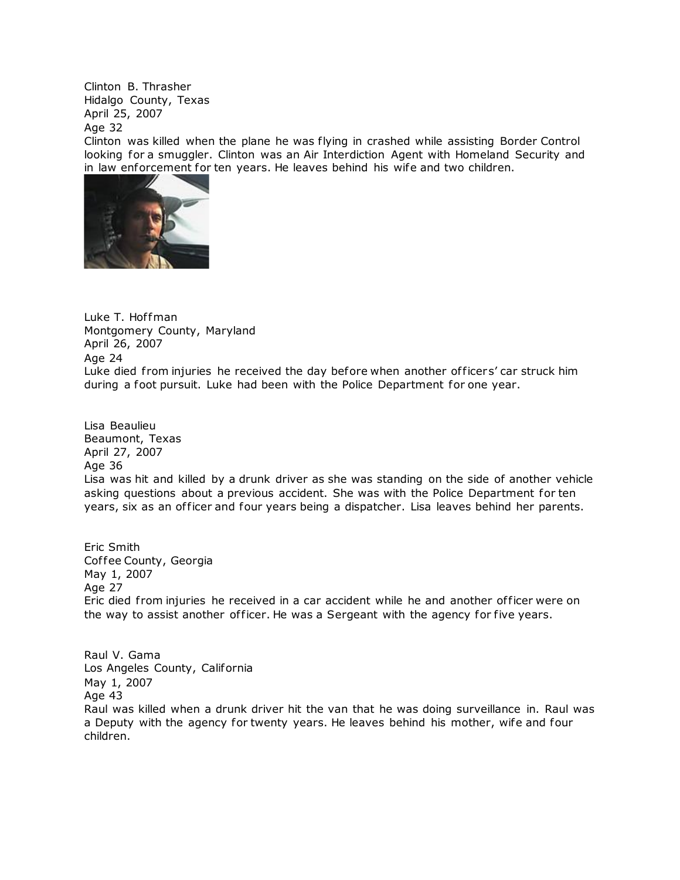Clinton B. Thrasher Hidalgo County, Texas April 25, 2007

Age 32

Clinton was killed when the plane he was flying in crashed while assisting Border Control looking for a smuggler. Clinton was an Air Interdiction Agent with Homeland Security and in law enforcement for ten years. He leaves behind his wife and two children.



Luke T. Hoffman Montgomery County, Maryland April 26, 2007 Age 24 Luke died from injuries he received the day before when another officers' car struck him during a foot pursuit. Luke had been with the Police Department for one year.

Lisa Beaulieu Beaumont, Texas April 27, 2007 Age 36 Lisa was hit and killed by a drunk driver as she was standing on the side of another vehicle asking questions about a previous accident. She was with the Police Department for ten years, six as an officer and four years being a dispatcher. Lisa leaves behind her parents.

Eric Smith Coffee County, Georgia May 1, 2007 Age 27 Eric died from injuries he received in a car accident while he and another officer were on the way to assist another of ficer. He was a Sergeant with the agency for five years.

Raul V. Gama Los Angeles County, California May 1, 2007 Age 43 Raul was killed when a drunk driver hit the van that he was doing surveillance in. Raul was a Deputy with the agency for twenty years. He leaves behind his mother, wife and four children.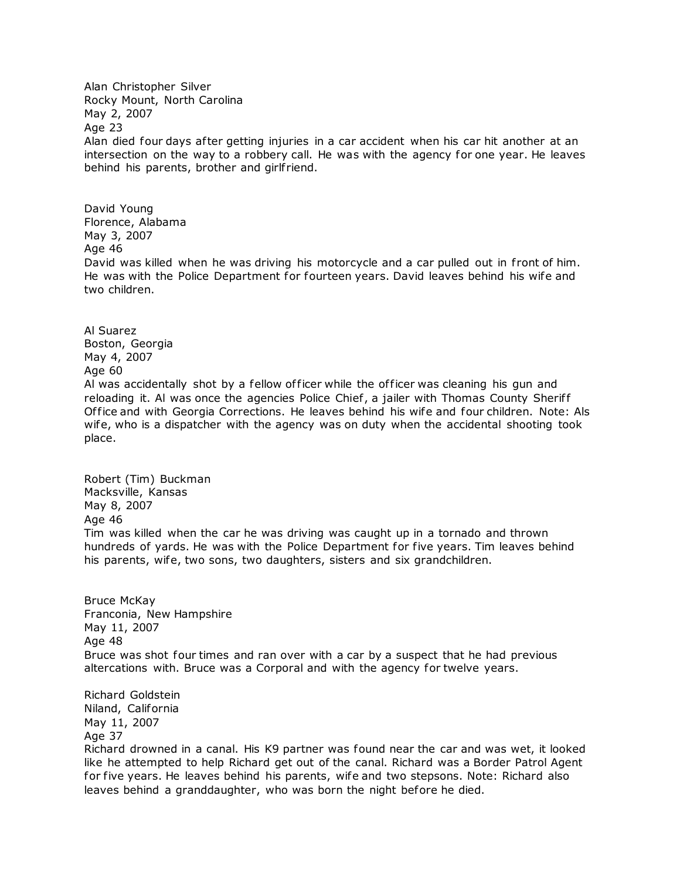Alan Christopher Silver Rocky Mount, North Carolina May 2, 2007 Age 23 Alan died four days after getting injuries in a car accident when his car hit another at an intersection on the way to a robbery call. He was with the agency for one year. He leaves behind his parents, brother and girlfriend.

David Young Florence, Alabama May 3, 2007 Age 46 David was killed when he was driving his motorcycle and a car pulled out in front of him. He was with the Police Department for fourteen years. David leaves behind his wife and two children.

Al Suarez Boston, Georgia May 4, 2007 Age 60 Al was accidentally shot by a fellow officer while the officer was cleaning his gun and reloading it. Al was once the agencies Police Chief, a jailer with Thomas County Sheriff Of fice and with Georgia Corrections. He leaves behind his wife and four children. Note: Als wife, who is a dispatcher with the agency was on duty when the accidental shooting took place.

Robert (Tim) Buckman Macksville, Kansas May 8, 2007 Age 46 Tim was killed when the car he was driving was caught up in a tornado and thrown hundreds of yards. He was with the Police Department for five years. Tim leaves behind his parents, wife, two sons, two daughters, sisters and six grandchildren.

Bruce McKay Franconia, New Hampshire May 11, 2007 Age 48 Bruce was shot four times and ran over with a car by a suspect that he had previous altercations with. Bruce was a Corporal and with the agency for twelve years.

Richard Goldstein Niland, California May 11, 2007 Age 37

Richard drowned in a canal. His K9 partner was found near the car and was wet, it looked like he attempted to help Richard get out of the canal. Richard was a Border Patrol Agent for five years. He leaves behind his parents, wife and two stepsons. Note: Richard also leaves behind a granddaughter, who was born the night before he died.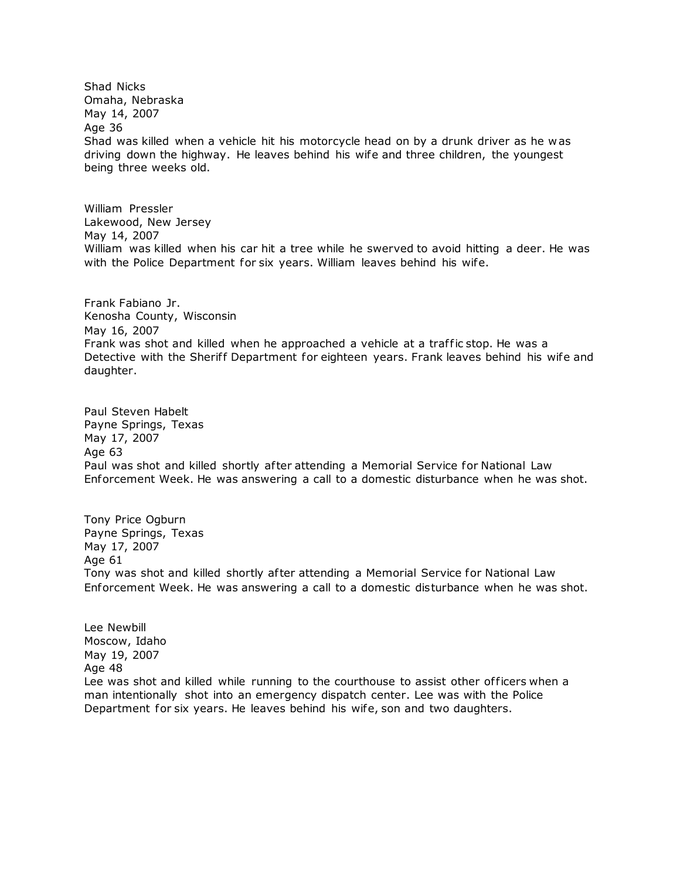Shad Nicks Omaha, Nebraska May 14, 2007 Age 36 Shad was killed when a vehicle hit his motorcycle head on by a drunk driver as he w as driving down the highway. He leaves behind his wife and three children, the youngest being three weeks old.

William Pressler Lakewood, New Jersey May 14, 2007 William was killed when his car hit a tree while he swerved to avoid hitting a deer. He was with the Police Department for six years. William leaves behind his wife.

Frank Fabiano Jr. Kenosha County, Wisconsin May 16, 2007 Frank was shot and killed when he approached a vehicle at a traffic stop. He was a Detective with the Sheriff Department for eighteen years. Frank leaves behind his wife and daughter.

Paul Steven Habelt Payne Springs, Texas May 17, 2007 Age 63 Paul was shot and killed shortly after attending a Memorial Service for National Law Enforcement Week. He was answering a call to a domestic disturbance when he was shot.

Tony Price Ogburn Payne Springs, Texas May 17, 2007 Age 61 Tony was shot and killed shortly after attending a Memorial Service for National Law Enforcement Week. He was answering a call to a domestic disturbance when he was shot.

Lee Newbill Moscow, Idaho May 19, 2007 Age 48 Lee was shot and killed while running to the courthouse to assist other officers when a man intentionally shot into an emergency dispatch center. Lee was with the Police Department for six years. He leaves behind his wife, son and two daughters.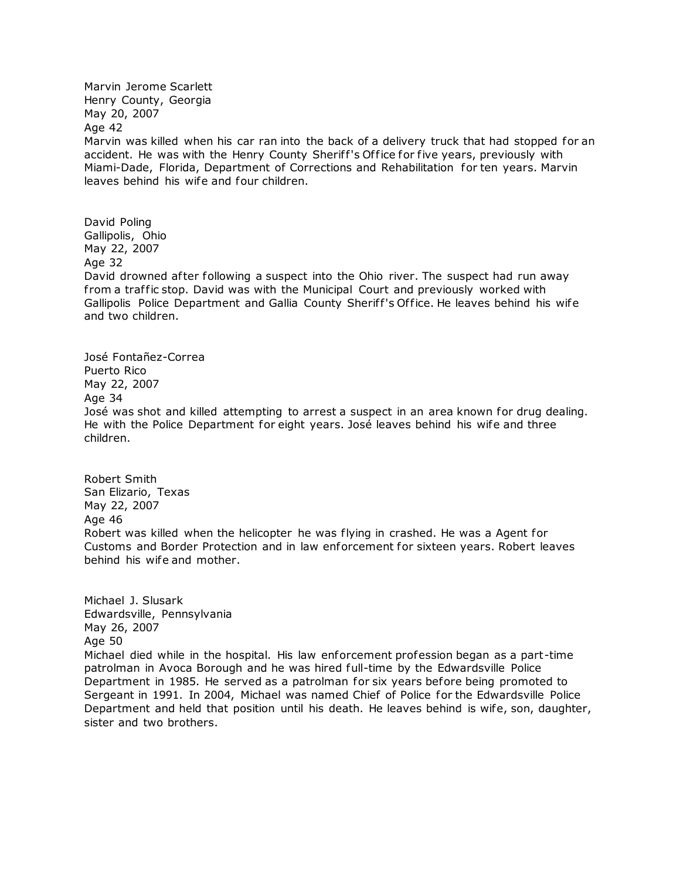Marvin Jerome Scarlett Henry County, Georgia May 20, 2007 Age 42 Marvin was killed when his car ran into the back of a delivery truck that had stopped for an accident. He was with the Henry County Sheriff's Office for five years, previously with Miami-Dade, Florida, Department of Corrections and Rehabilitation for ten years. Marvin leaves behind his wife and four children.

David Poling Gallipolis, Ohio May 22, 2007 Age 32 David drowned after following a suspect into the Ohio river. The suspect had run away from a traffic stop. David was with the Municipal Court and previously worked with Gallipolis Police Department and Gallia County Sheriff's Office. He leaves behind his wife and two children.

José Fontañez-Correa Puerto Rico May 22, 2007 Age 34 José was shot and killed attempting to arrest a suspect in an area known for drug dealing. He with the Police Department for eight years. José leaves behind his wife and three children.

Robert Smith San Elizario, Texas May 22, 2007 Age 46 Robert was killed when the helicopter he was flying in crashed. He was a Agent for Customs and Border Protection and in law enforcement for sixteen years. Robert leaves behind his wife and mother.

Michael J. Slusark Edwardsville, Pennsylvania May 26, 2007 Age 50 Michael died while in the hospital. His law enforcement profession began as a part-time patrolman in Avoca Borough and he was hired full-time by the Edwardsville Police Department in 1985. He served as a patrolman for six years before being promoted to Sergeant in 1991. In 2004, Michael was named Chief of Police for the Edwardsville Police Department and held that position until his death. He leaves behind is wife, son, daughter, sister and two brothers.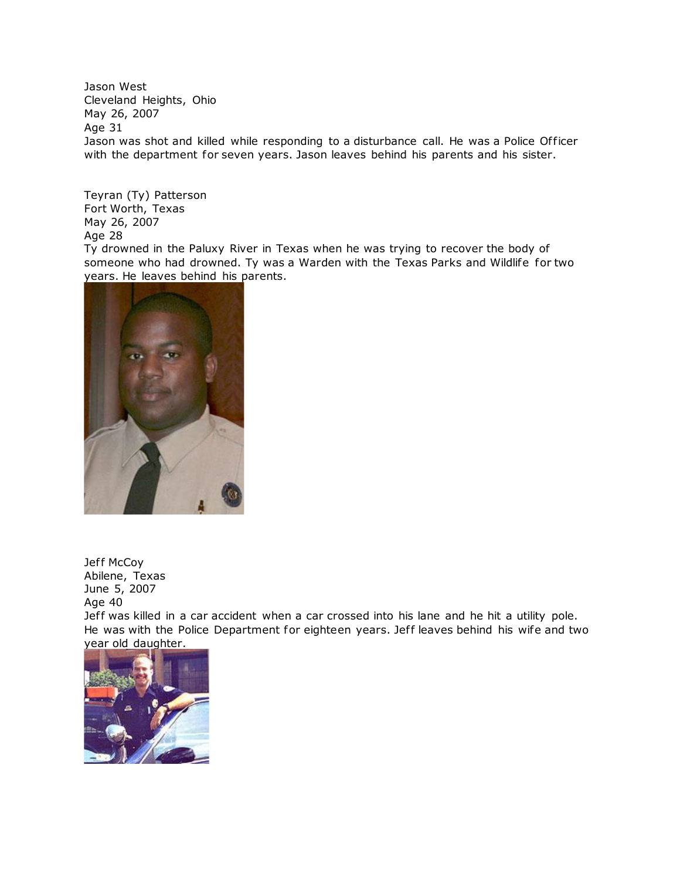Jason West Cleveland Heights, Ohio May 26, 2007 Age 31 Jason was shot and killed while responding to a disturbance call. He was a Police Officer with the department for seven years. Jason leaves behind his parents and his sister.

Teyran (Ty) Patterson Fort Worth, Texas May 26, 2007 Age 28

Ty drowned in the Paluxy River in Texas when he was trying to recover the body of someone who had drowned. Ty was a Warden with the Texas Parks and Wildlife for two years. He leaves behind his parents.



Jeff McCoy Abilene, Texas June 5, 2007 Age 40

Jeff was killed in a car accident when a car crossed into his lane and he hit a utility pole. He was with the Police Department for eighteen years. Jeff leaves behind his wife and two [year old daughter.](http://www.copadorer.com/memorials/2007.html#thumb)

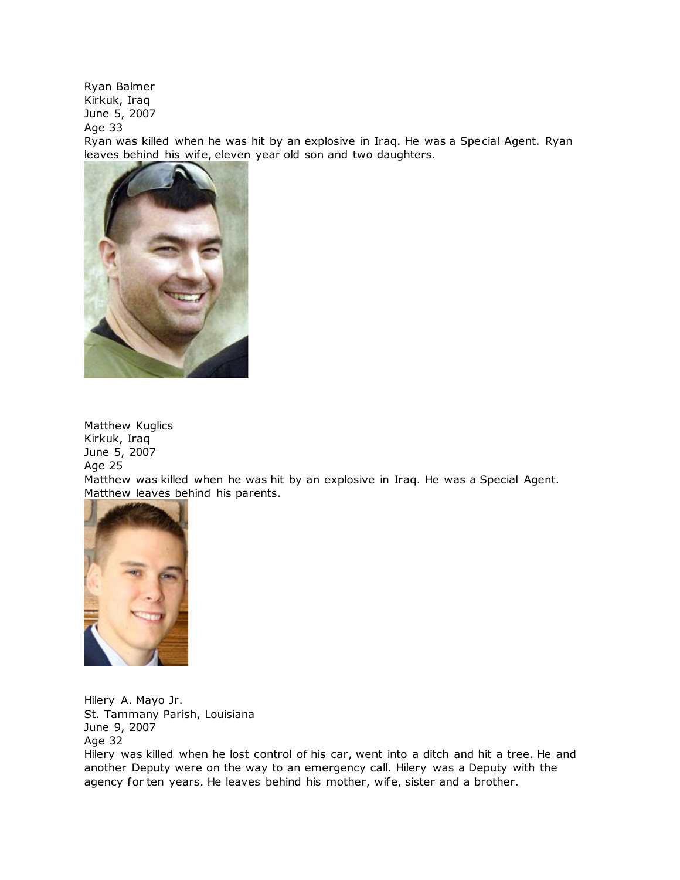Ryan Balmer Kirkuk, Iraq June 5, 2007

Age 33

Ryan was killed when he was hit by an explosive in Iraq. He was a Special Agent. Ryan leaves behind his wife, eleven year old son and two daughters.



Matthew Kuglics Kirkuk, Iraq June 5, 2007 Age 25

Matthew was killed when he was hit by an explosive in Iraq. He was a Special Agent. [Matthew leaves behin](http://www.copadorer.com/memorials/2007.html#thumb)d his parents.



Hilery A. Mayo Jr. St. Tammany Parish, Louisiana June 9, 2007 Age 32

Hilery was killed when he lost control of his car, went into a ditch and hit a tree. He and another Deputy were on the way to an emergency call. Hilery was a Deputy with the agency for ten years. He leaves behind his mother, wife, sister and a brother.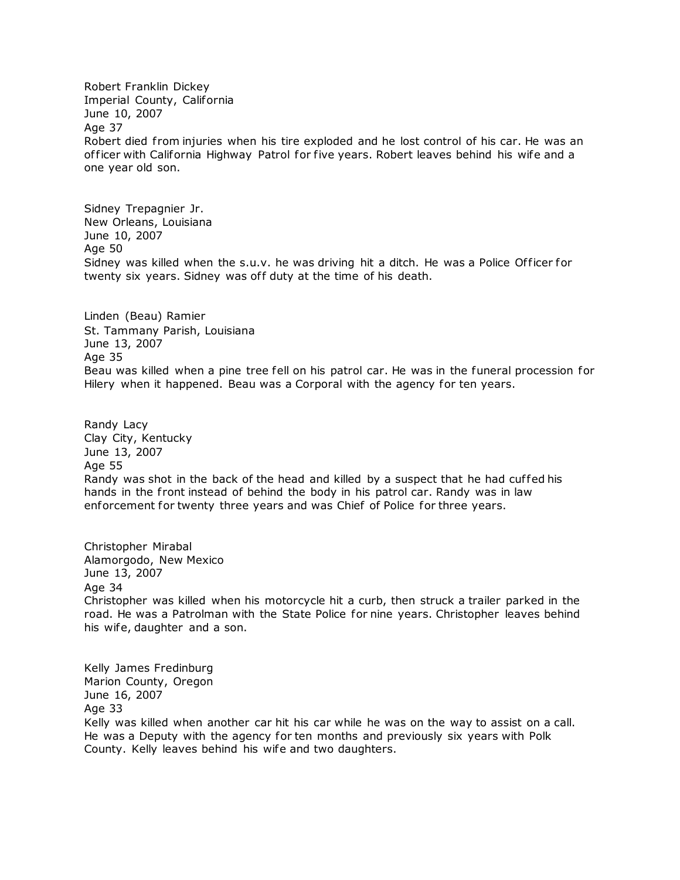Robert Franklin Dickey Imperial County, California June 10, 2007 Age 37 Robert died from injuries when his tire exploded and he lost control of his car. He was an of ficer with California Highway Patrol for five years. Robert leaves behind his wife and a one year old son.

Sidney Trepagnier Jr. New Orleans, Louisiana June 10, 2007 Age 50 Sidney was killed when the s.u.v. he was driving hit a ditch. He was a Police Officer for twenty six years. Sidney was off duty at the time of his death.

Linden (Beau) Ramier St. Tammany Parish, Louisiana June 13, 2007 Age 35 Beau was killed when a pine tree fell on his patrol car. He was in the funeral procession for Hilery when it happened. Beau was a Corporal with the agency for ten years.

Randy Lacy Clay City, Kentucky June 13, 2007 Age 55 Randy was shot in the back of the head and killed by a suspect that he had cuffed his hands in the front instead of behind the body in his patrol car. Randy was in law enforcement for twenty three years and was Chief of Police for three years.

Christopher Mirabal Alamorgodo, New Mexico June 13, 2007 Age 34 Christopher was killed when his motorcycle hit a curb, then struck a trailer parked in the road. He was a Patrolman with the State Police for nine years. Christopher leaves behind his wife, daughter and a son.

Kelly James Fredinburg Marion County, Oregon June 16, 2007 Age 33

Kelly was killed when another car hit his car while he was on the way to assist on a call. He was a Deputy with the agency for ten months and previously six years with Polk County. Kelly leaves behind his wife and two daughters.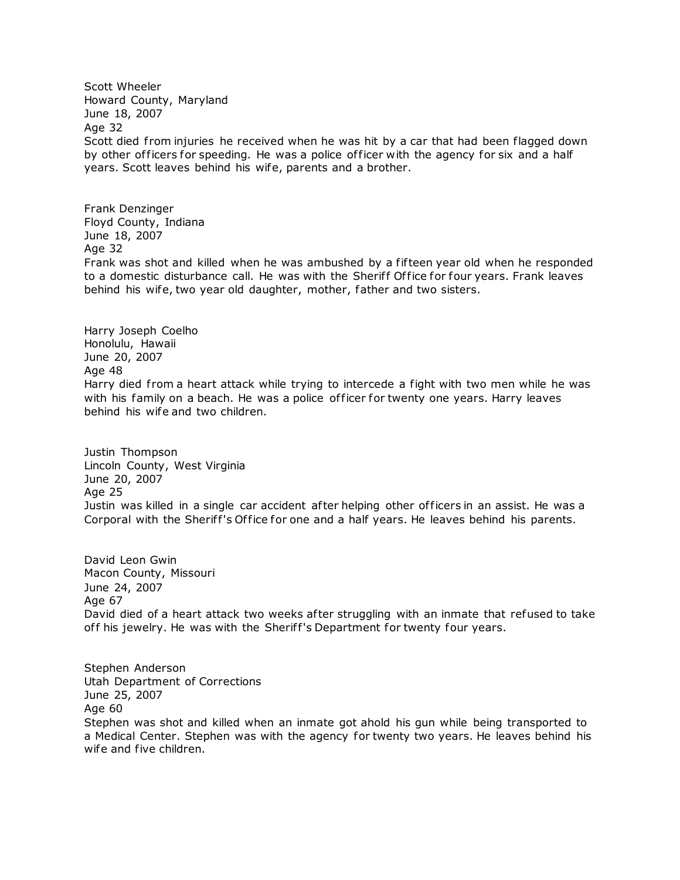Scott Wheeler Howard County, Maryland June 18, 2007 Age 32 Scott died from injuries he received when he was hit by a car that had been flagged down by other of ficers for speeding. He was a police of ficer with the agency for six and a half years. Scott leaves behind his wife, parents and a brother.

Frank Denzinger Floyd County, Indiana June 18, 2007 Age 32

Frank was shot and killed when he was ambushed by a fif teen year old when he responded to a domestic disturbance call. He was with the Sheriff Office for four years. Frank leaves behind his wife, two year old daughter, mother, father and two sisters.

Harry Joseph Coelho Honolulu, Hawaii June 20, 2007 Age 48 Harry died from a heart attack while trying to intercede a fight with two men while he was with his family on a beach. He was a police officer for twenty one years. Harry leaves behind his wife and two children.

Justin Thompson Lincoln County, West Virginia June 20, 2007 Age 25 Justin was killed in a single car accident after helping other officers in an assist. He was a Corporal with the Sheriff's Office for one and a half years. He leaves behind his parents.

David Leon Gwin Macon County, Missouri June 24, 2007 Age 67 David died of a heart attack two weeks after struggling with an inmate that refused to take off his jewelry. He was with the Sheriff's Department for twenty four years.

Stephen Anderson Utah Department of Corrections June 25, 2007 Age 60 Stephen was shot and killed when an inmate got ahold his gun while being transported to a Medical Center. Stephen was with the agency for twenty two years. He leaves behind his wife and five children.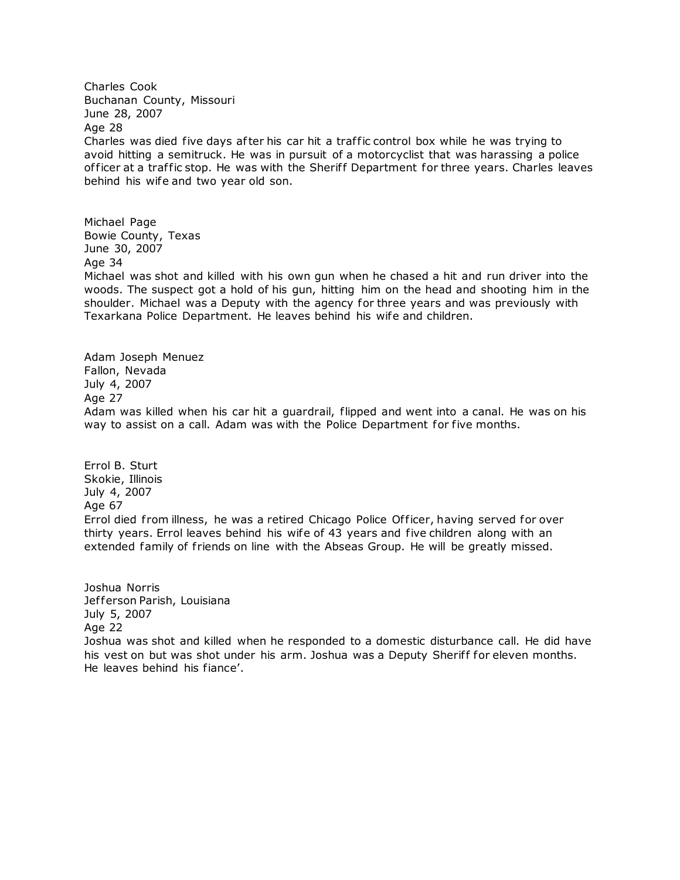Charles Cook Buchanan County, Missouri June 28, 2007 Age 28 Charles was died five days after his car hit a traf fic control box while he was trying to avoid hitting a semitruck. He was in pursuit of a motorcyclist that was harassing a police officer at a traffic stop. He was with the Sheriff Department for three years. Charles leaves behind his wife and two year old son.

Michael Page Bowie County, Texas June 30, 2007 Age 34 Michael was shot and killed with his own gun when he chased a hit and run driver into the woods. The suspect got a hold of his gun, hitting him on the head and shooting him in the shoulder. Michael was a Deputy with the agency for three years and was previously with Texarkana Police Department. He leaves behind his wife and children.

Adam Joseph Menuez Fallon, Nevada July 4, 2007 Age 27 Adam was killed when his car hit a guardrail, flipped and went into a canal. He was on his way to assist on a call. Adam was with the Police Department for five months.

Errol B. Sturt Skokie, Illinois July 4, 2007 Age 67 Errol died from illness, he was a retired Chicago Police Officer, having served for over thirty years. Errol leaves behind his wife of 43 years and five children along with an extended family of friends on line with the Abseas Group. He will be greatly missed.

Joshua Norris Jefferson Parish, Louisiana July 5, 2007 Age 22 Joshua was shot and killed when he responded to a domestic disturbance call. He did have his vest on but was shot under his arm. Joshua was a Deputy Sheriff for eleven months. He leaves behind his fiance'.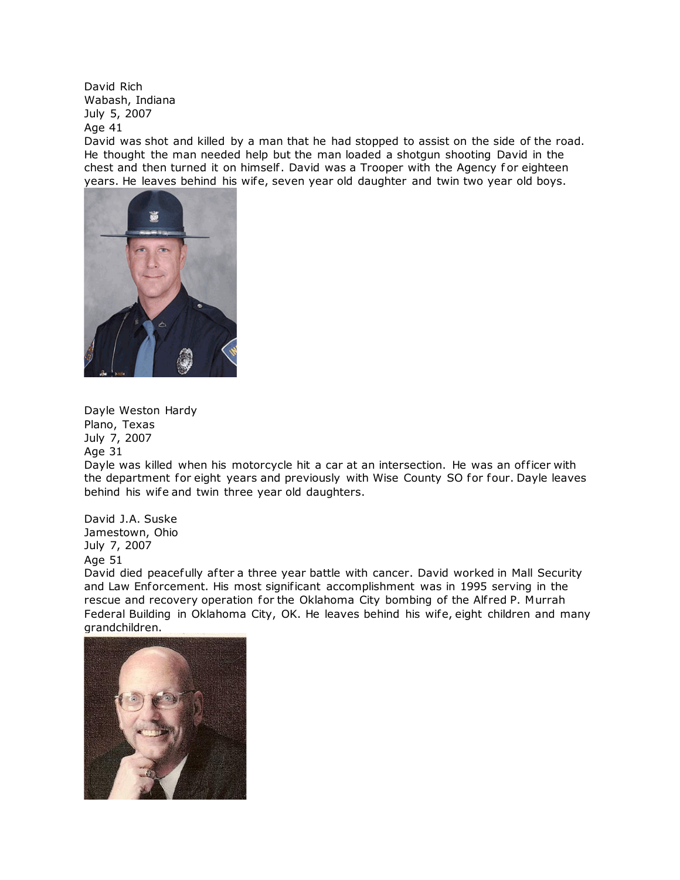David Rich Wabash, Indiana July 5, 2007 Age 41

David was shot and killed by a man that he had stopped to assist on the side of the road. He thought the man needed help but the man loaded a shotgun shooting David in the chest and then turned it on himself . David was a Trooper with the Agency f or eighteen years. He leaves behind his wife, seven year old daughter and twin two year old boys.



Dayle Weston Hardy Plano, Texas July 7, 2007 Age 31

Dayle was killed when his motorcycle hit a car at an intersection. He was an officer with the department for eight years and previously with Wise County SO for four. Dayle leaves behind his wife and twin three year old daughters.

David J.A. Suske Jamestown, Ohio July 7, 2007 Age 51

David died peacefully after a three year battle with cancer. David worked in Mall Security and Law Enforcement. His most significant accomplishment was in 1995 serving in the rescue and recovery operation for the Oklahoma City bombing of the Alfred P. Murrah Federal Building in Oklahoma City, OK. He leaves behind his wife, eight children and many grandchildren.

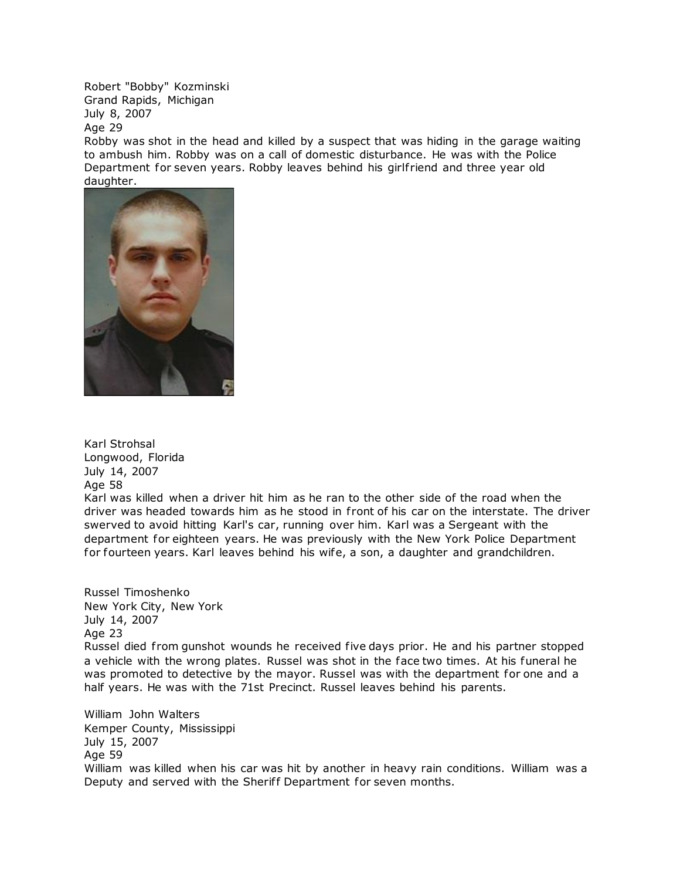Robert "Bobby" Kozminski Grand Rapids, Michigan July 8, 2007 Age 29

Robby was shot in the head and killed by a suspect that was hiding in the garage waiting to ambush him. Robby was on a call of domestic disturbance. He was with the Police Department for seven years. Robby leaves behind his girlfriend and three year old daughter.



Karl Strohsal Longwood, Florida July 14, 2007 Age 58 Karl was killed when a driver hit him as he ran to the other side of the road when the

driver was headed towards him as he stood in front of his car on the interstate. The driver swerved to avoid hitting Karl's car, running over him. Karl was a Sergeant with the department for eighteen years. He was previously with the New York Police Department for fourteen years. Karl leaves behind his wife, a son, a daughter and grandchildren.

Russel Timoshenko New York City, New York July 14, 2007 Age 23 Russel died from gunshot wounds he received five days prior. He and his partner stopped a vehicle with the wrong plates. Russel was shot in the face two times. At his funeral he was promoted to detective by the mayor. Russel was with the department for one and a half years. He was with the 71st Precinct. Russel leaves behind his parents.

William John Walters Kemper County, Mississippi July 15, 2007 Age 59 William was killed when his car was hit by another in heavy rain conditions. William was a Deputy and served with the Sheriff Department for seven months.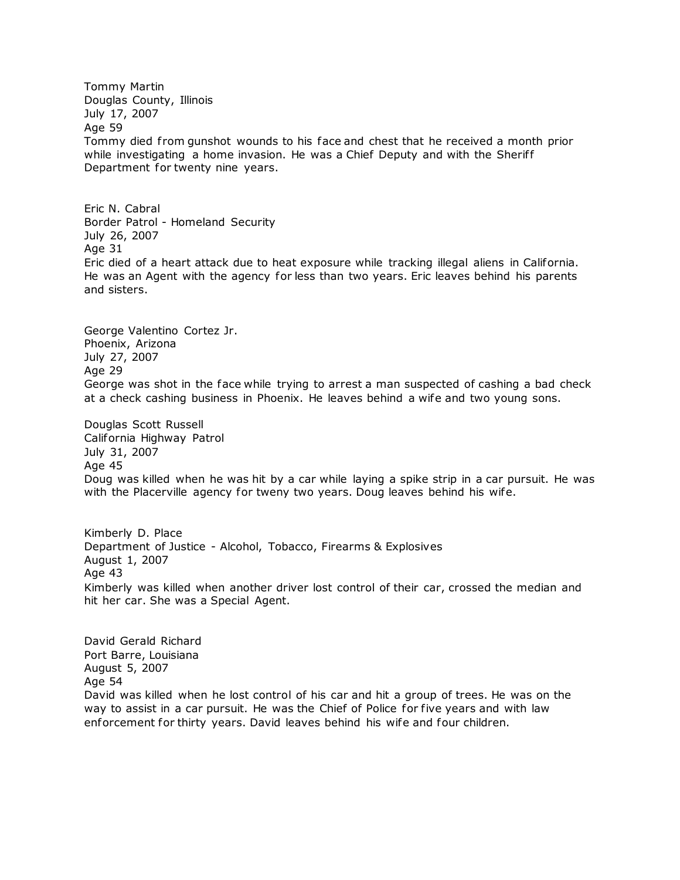Tommy Martin Douglas County, Illinois July 17, 2007 Age 59 Tommy died from gunshot wounds to his face and chest that he received a month prior while investigating a home invasion. He was a Chief Deputy and with the Sheriff Department for twenty nine years.

Eric N. Cabral Border Patrol - Homeland Security July 26, 2007 Age 31 Eric died of a heart attack due to heat exposure while tracking illegal aliens in California. He was an Agent with the agency for less than two years. Eric leaves behind his parents and sisters.

George Valentino Cortez Jr. Phoenix, Arizona July 27, 2007 Age 29 George was shot in the face while trying to arrest a man suspected of cashing a bad check at a check cashing business in Phoenix. He leaves behind a wife and two young sons.

Douglas Scott Russell California Highway Patrol July 31, 2007 Age 45 Doug was killed when he was hit by a car while laying a spike strip in a car pursuit. He was with the Placerville agency for tweny two years. Doug leaves behind his wife.

Kimberly D. Place Department of Justice - Alcohol, Tobacco, Firearms & Explosives August 1, 2007 Age 43 Kimberly was killed when another driver lost control of their car, crossed the median and hit her car. She was a Special Agent.

David Gerald Richard Port Barre, Louisiana August 5, 2007 Age 54 David was killed when he lost control of his car and hit a group of trees. He was on the way to assist in a car pursuit. He was the Chief of Police for five years and with law enforcement for thirty years. David leaves behind his wife and four children.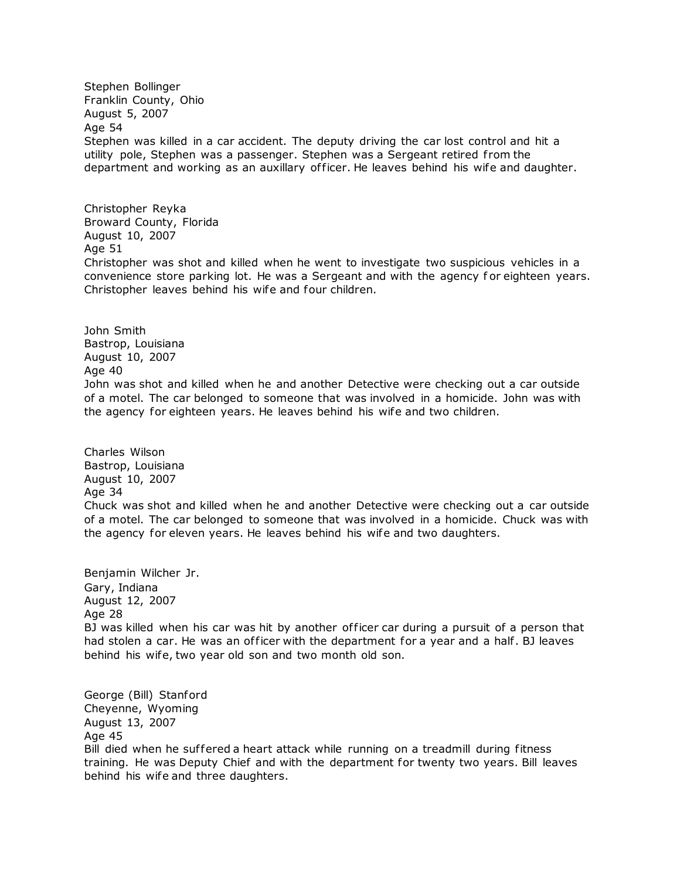Stephen Bollinger Franklin County, Ohio August 5, 2007 Age 54 Stephen was killed in a car accident. The deputy driving the car lost control and hit a utility pole, Stephen was a passenger. Stephen was a Sergeant retired from the department and working as an auxillary of ficer. He leaves behind his wife and daughter.

Christopher Reyka Broward County, Florida August 10, 2007 Age 51 Christopher was shot and killed when he went to investigate two suspicious vehicles in a convenience store parking lot. He was a Sergeant and with the agency f or eighteen years. Christopher leaves behind his wife and four children.

John Smith Bastrop, Louisiana August 10, 2007 Age 40 John was shot and killed when he and another Detective were checking out a car outside of a motel. The car belonged to someone that was involved in a homicide. John was with the agency for eighteen years. He leaves behind his wife and two children.

Charles Wilson Bastrop, Louisiana August 10, 2007 Age 34 Chuck was shot and killed when he and another Detective were checking out a car outside of a motel. The car belonged to someone that was involved in a homicide. Chuck was with the agency for eleven years. He leaves behind his wife and two daughters.

Benjamin Wilcher Jr. Gary, Indiana August 12, 2007 Age 28 BJ was killed when his car was hit by another officer car during a pursuit of a person that had stolen a car. He was an officer with the department for a year and a half. BJ leaves behind his wife, two year old son and two month old son.

George (Bill) Stanford Cheyenne, Wyoming August 13, 2007 Age 45 Bill died when he suffered a heart attack while running on a treadmill during fitness training. He was Deputy Chief and with the department for twenty two years. Bill leaves behind his wife and three daughters.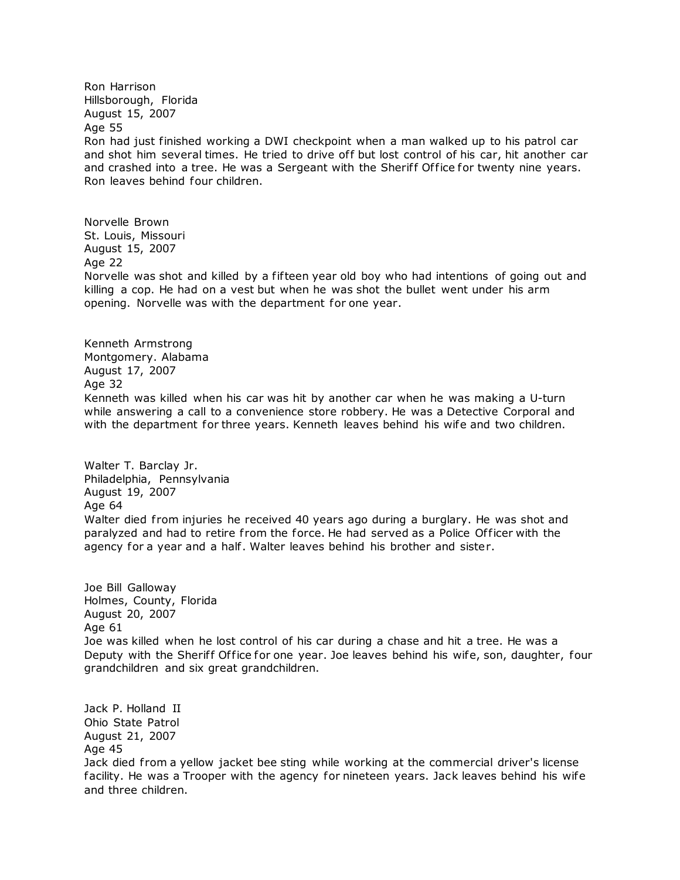Ron Harrison Hillsborough, Florida August 15, 2007 Age 55 Ron had just finished working a DWI checkpoint when a man walked up to his patrol car and shot him several times. He tried to drive off but lost control of his car, hit another car and crashed into a tree. He was a Sergeant with the Sheriff Office for twenty nine years. Ron leaves behind four children.

Norvelle Brown St. Louis, Missouri August 15, 2007 Age 22 Norvelle was shot and killed by a fif teen year old boy who had intentions of going out and killing a cop. He had on a vest but when he was shot the bullet went under his arm opening. Norvelle was with the department for one year.

Kenneth Armstrong Montgomery. Alabama August 17, 2007 Age 32 Kenneth was killed when his car was hit by another car when he was making a U-turn while answering a call to a convenience store robbery. He was a Detective Corporal and with the department for three years. Kenneth leaves behind his wife and two children.

Walter T. Barclay Jr. Philadelphia, Pennsylvania August 19, 2007 Age 64 Walter died from injuries he received 40 years ago during a burglary. He was shot and paralyzed and had to retire from the force. He had served as a Police Officer with the agency for a year and a half. Walter leaves behind his brother and sister.

Joe Bill Galloway Holmes, County, Florida August 20, 2007 Age 61 Joe was killed when he lost control of his car during a chase and hit a tree. He was a Deputy with the Sheriff Office for one year. Joe leaves behind his wife, son, daughter, four grandchildren and six great grandchildren.

Jack P. Holland II Ohio State Patrol August 21, 2007 Age 45 Jack died from a yellow jacket bee sting while working at the commercial driver's license facility. He was a Trooper with the agency for nineteen years. Jack leaves behind his wife and three children.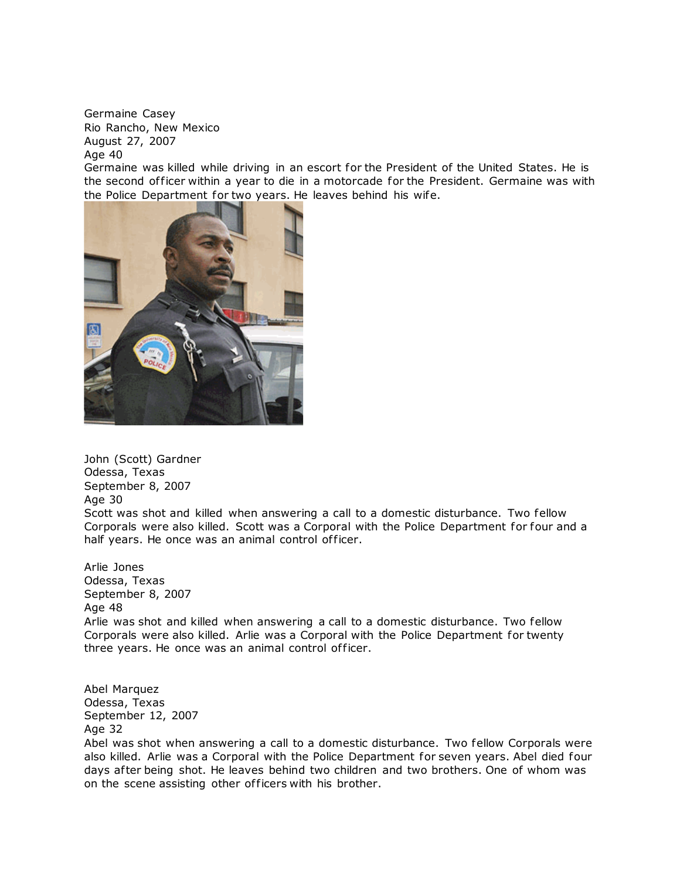Germaine Casey Rio Rancho, New Mexico August 27, 2007 Age 40

Germaine was killed while driving in an escort for the President of the United States. He is the second officer within a year to die in a motorcade for the President. Germaine was with [the Police Department for two years. He le](http://www.copadorer.com/memorials/2007.html#thumb)aves behind his wife.



John (Scott) Gardner Odessa, Texas September 8, 2007 Age 30 Scott was shot and killed when answering a call to a domestic disturbance. Two fellow Corporals were also killed. Scott was a Corporal with the Police Department for four and a half years. He once was an animal control officer.

Arlie Jones Odessa, Texas September 8, 2007 Age 48 Arlie was shot and killed when answering a call to a domestic disturbance. Two fellow Corporals were also killed. Arlie was a Corporal with the Police Department for twenty three years. He once was an animal control officer.

Abel Marquez Odessa, Texas September 12, 2007 Age 32

Abel was shot when answering a call to a domestic disturbance. Two fellow Corporals were also killed. Arlie was a Corporal with the Police Department for seven years. Abel died four days after being shot. He leaves behind two children and two brothers. One of whom was on the scene assisting other of ficers with his brother.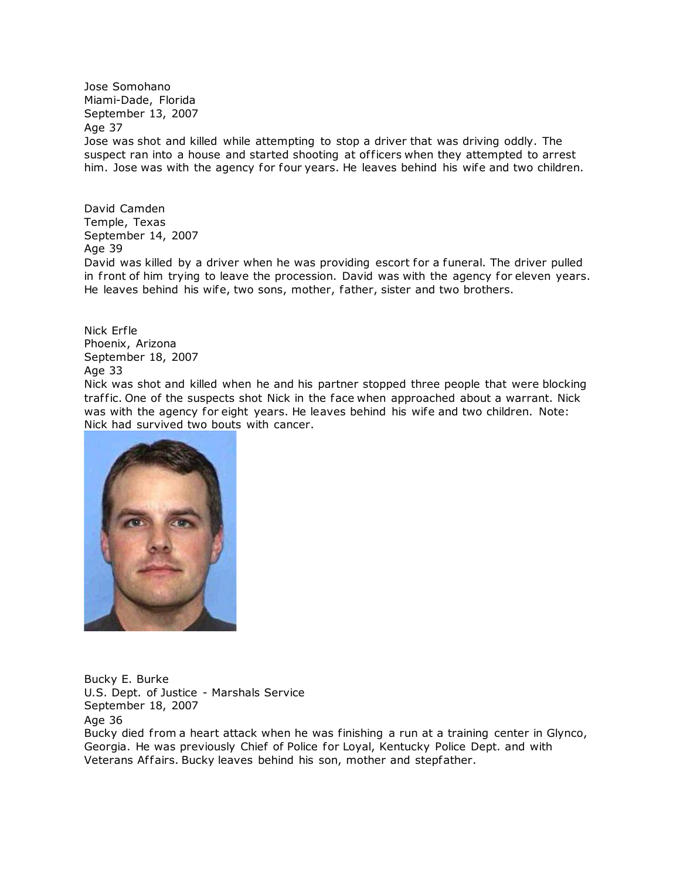Jose Somohano Miami-Dade, Florida September 13, 2007 Age 37 Jose was shot and killed while attempting to stop a driver that was driving oddly. The suspect ran into a house and started shooting at officers when they attempted to arrest him. Jose was with the agency for four years. He leaves behind his wife and two children.

David Camden Temple, Texas September 14, 2007 Age 39

David was killed by a driver when he was providing escort for a funeral. The driver pulled in front of him trying to leave the procession. David was with the agency for eleven years. He leaves behind his wife, two sons, mother, father, sister and two brothers.

Nick Erfle Phoenix, Arizona September 18, 2007 Age 33

Nick was shot and killed when he and his partner stopped three people that were blocking traffic. One of the suspects shot Nick in the face when approached about a warrant. Nick was with the agency for eight years. He leaves behind his wife and two children. Note: Nick had survived two bouts with cancer.



Bucky E. Burke U.S. Dept. of Justice - Marshals Service September 18, 2007 Age 36 Bucky died from a heart attack when he was finishing a run at a training center in Glynco, Georgia. He was previously Chief of Police for Loyal, Kentucky Police Dept. and with Veterans Affairs. Bucky leaves behind his son, mother and stepfather.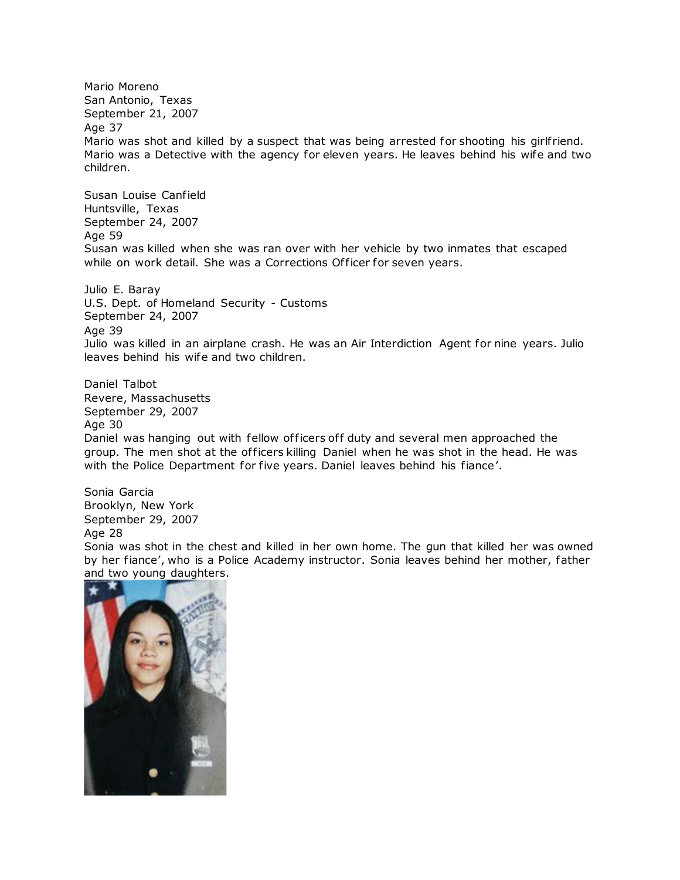Mario Moreno San Antonio, Texas September 21, 2007 Age 37 Mario was shot and killed by a suspect that was being arrested for shooting his girlfriend. Mario was a Detective with the agency for eleven years. He leaves behind his wife and two children.

Susan Louise Canfield Huntsville, Texas September 24, 2007 Age 59 Susan was killed when she was ran over with her vehicle by two inmates that escaped while on work detail. She was a Corrections Officer for seven years.

Julio E. Baray U.S. Dept. of Homeland Security - Customs September 24, 2007 Age 39 Julio was killed in an airplane crash. He was an Air Interdiction Agent for nine years. Julio leaves behind his wife and two children.

Daniel Talbot Revere, Massachusetts September 29, 2007 Age 30 Daniel was hanging out with fellow officers off duty and several men approached the group. The men shot at the officers killing Daniel when he was shot in the head. He was with the Police Department for five years. Daniel leaves behind his fiance'.

Sonia Garcia Brooklyn, New York September 29, 2007 Age 28 Sonia was shot in the chest and killed in her own home. The gun that killed her was owned by her fiance', who is a Police Academy instructor. Sonia leaves behind her mother, father and two young daughters.

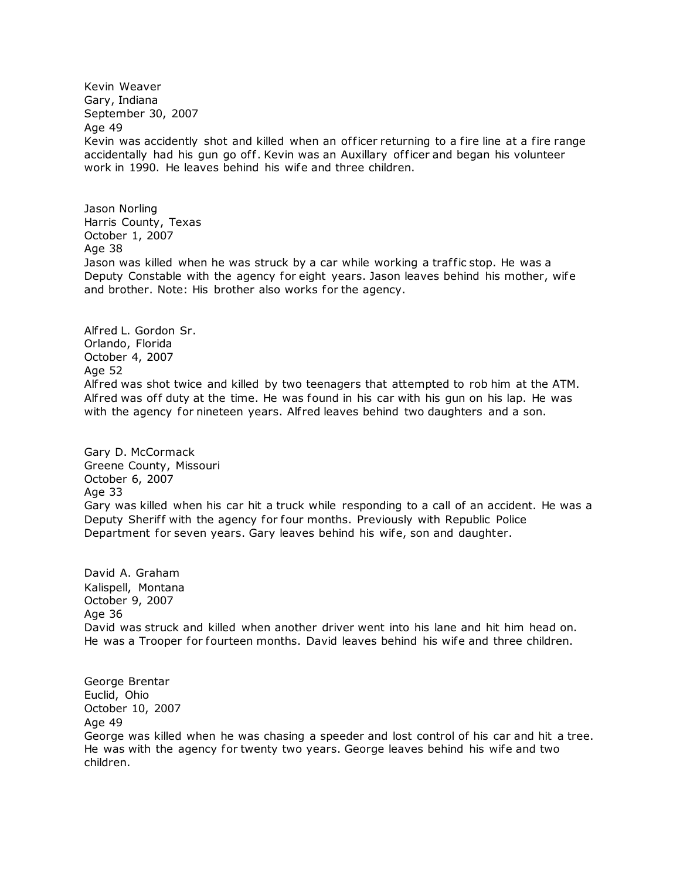Kevin Weaver Gary, Indiana September 30, 2007 Age 49 Kevin was accidently shot and killed when an officer returning to a fire line at a fire range accidentally had his gun go off. Kevin was an Auxillary officer and began his volunteer work in 1990. He leaves behind his wife and three children.

Jason Norling Harris County, Texas October 1, 2007 Age 38 Jason was killed when he was struck by a car while working a traffic stop. He was a Deputy Constable with the agency for eight years. Jason leaves behind his mother, wife and brother. Note: His brother also works for the agency.

Alf red L. Gordon Sr. Orlando, Florida October 4, 2007 Age 52 Alf red was shot twice and killed by two teenagers that attempted to rob him at the ATM. Alfred was off duty at the time. He was found in his car with his gun on his lap. He was with the agency for nineteen years. Alfred leaves behind two daughters and a son.

Gary D. McCormack Greene County, Missouri October 6, 2007 Age 33 Gary was killed when his car hit a truck while responding to a call of an accident. He was a Deputy Sherif f with the agency for four months. Previously with Republic Police Department for seven years. Gary leaves behind his wife, son and daughter.

David A. Graham Kalispell, Montana October 9, 2007 Age 36 David was struck and killed when another driver went into his lane and hit him head on. He was a Trooper for fourteen months. David leaves behind his wife and three children.

George Brentar Euclid, Ohio October 10, 2007 Age 49 George was killed when he was chasing a speeder and lost control of his car and hit a tree. He was with the agency for twenty two years. George leaves behind his wife and two children.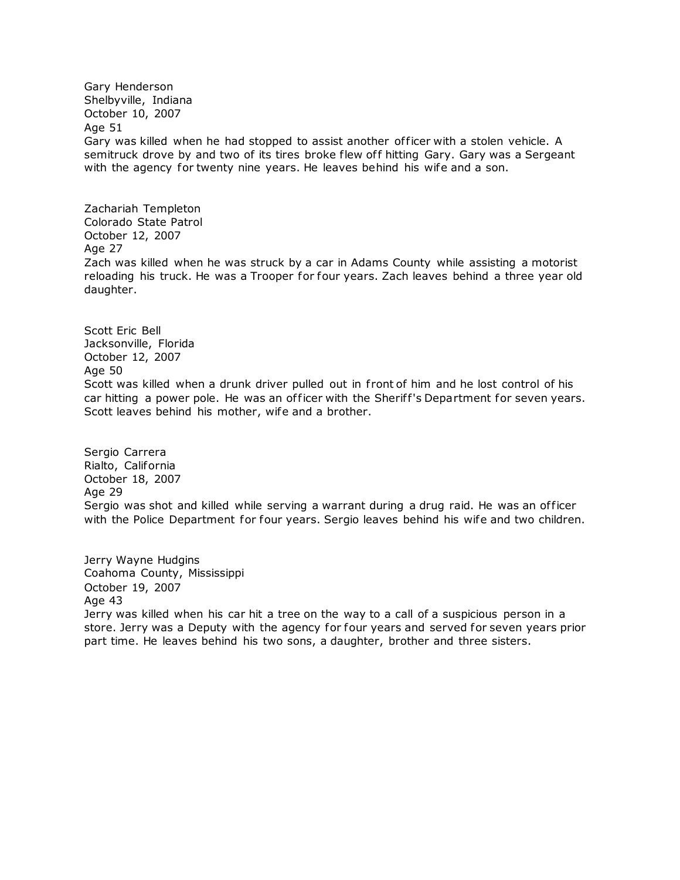Gary Henderson Shelbyville, Indiana October 10, 2007 Age 51 Gary was killed when he had stopped to assist another of ficer with a stolen vehicle. A semitruck drove by and two of its tires broke flew off hitting Gary. Gary was a Sergeant with the agency for twenty nine years. He leaves behind his wife and a son.

Zachariah Templeton Colorado State Patrol October 12, 2007 Age 27 Zach was killed when he was struck by a car in Adams County while assisting a motorist reloading his truck. He was a Trooper for four years. Zach leaves behind a three year old daughter.

Scott Eric Bell Jacksonville, Florida October 12, 2007 Age 50 Scott was killed when a drunk driver pulled out in front of him and he lost control of his car hitting a power pole. He was an officer with the Sheriff's Department for seven years. Scott leaves behind his mother, wife and a brother.

Sergio Carrera Rialto, California October 18, 2007 Age 29 Sergio was shot and killed while serving a warrant during a drug raid. He was an officer with the Police Department for four years. Sergio leaves behind his wife and two children.

Jerry Wayne Hudgins Coahoma County, Mississippi October 19, 2007 Age 43 Jerry was killed when his car hit a tree on the way to a call of a suspicious person in a store. Jerry was a Deputy with the agency for four years and served for seven years prior part time. He leaves behind his two sons, a daughter, brother and three sisters.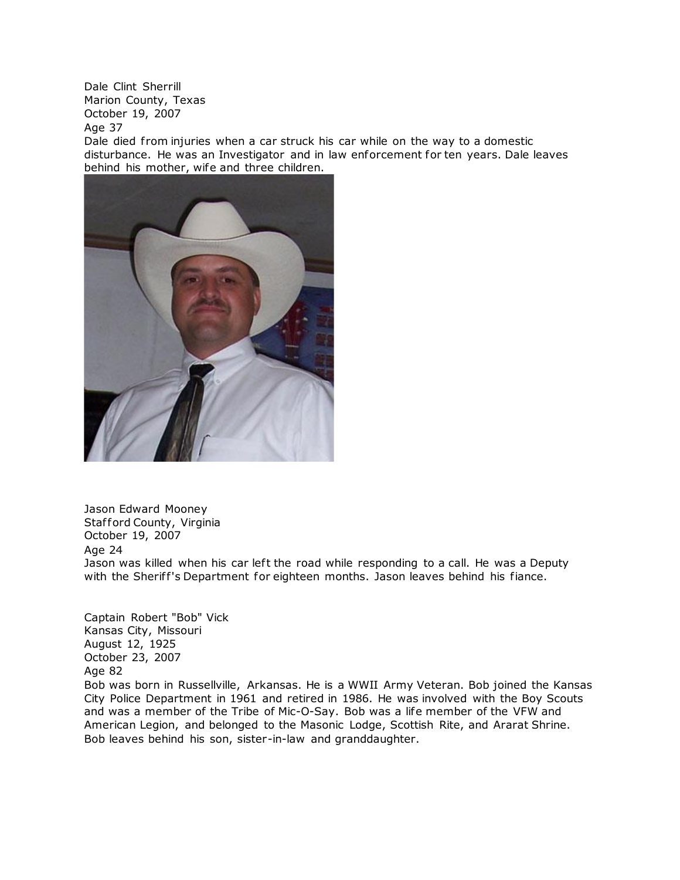Dale Clint Sherrill Marion County, Texas October 19, 2007

Age 37

Dale died from injuries when a car struck his car while on the way to a domestic disturbance. He was an Investigator and in law enforcement for ten years. Dale leaves behind his mother, wife and three children.



Jason Edward Mooney Stafford County, Virginia October 19, 2007 Age 24 Jason was killed when his car left the road while responding to a call. He was a Deputy with the Sheriff's Department for eighteen months. Jason leaves behind his fiance.

Captain Robert "Bob" Vick Kansas City, Missouri August 12, 1925 October 23, 2007 Age 82 Bob was born in Russellville, Arkansas. He is a WWII Army Veteran. Bob joined the Kansas City Police Department in 1961 and retired in 1986. He was involved with the Boy Scouts and was a member of the Tribe of Mic-O-Say. Bob was a life member of the VFW and American Legion, and belonged to the Masonic Lodge, Scottish Rite, and Ararat Shrine. Bob leaves behind his son, sister-in-law and granddaughter.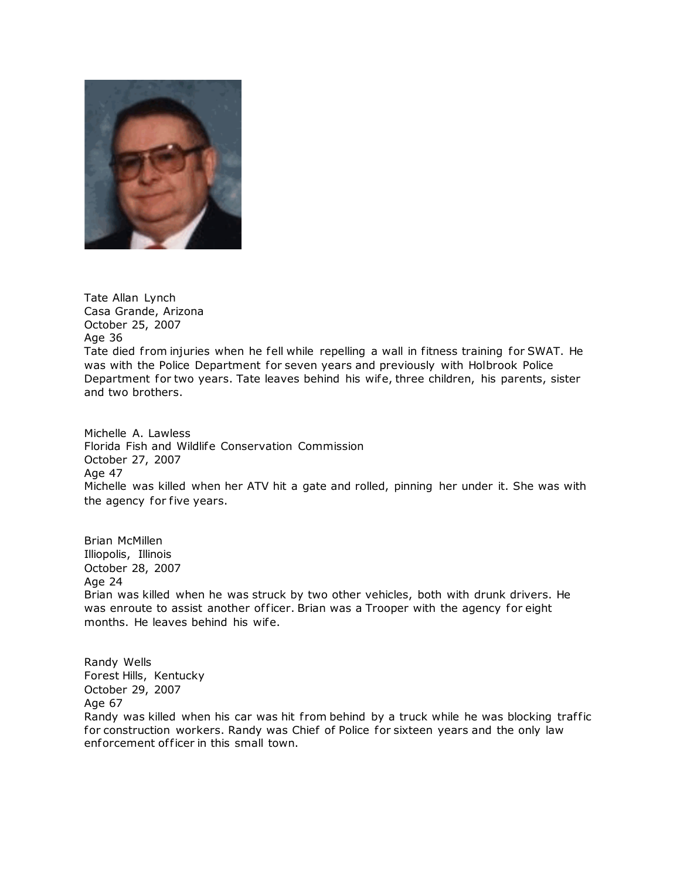

Tate Allan Lynch Casa Grande, Arizona October 25, 2007 Age 36 Tate died from injuries when he fell while repelling a wall in fitness training for SWAT. He was with the Police Department for seven years and previously with Holbrook Police Department for two years. Tate leaves behind his wife, three children, his parents, sister and two brothers.

Michelle A. Lawless Florida Fish and Wildlife Conservation Commission October 27, 2007 Age 47 Michelle was killed when her ATV hit a gate and rolled, pinning her under it. She was with the agency for five years.

Brian McMillen Illiopolis, Illinois October 28, 2007 Age 24 Brian was killed when he was struck by two other vehicles, both with drunk drivers. He was enroute to assist another officer. Brian was a Trooper with the agency for eight months. He leaves behind his wife.

Randy Wells Forest Hills, Kentucky October 29, 2007 Age 67 Randy was killed when his car was hit from behind by a truck while he was blocking traffic for construction workers. Randy was Chief of Police for sixteen years and the only law enforcement of ficer in this small town.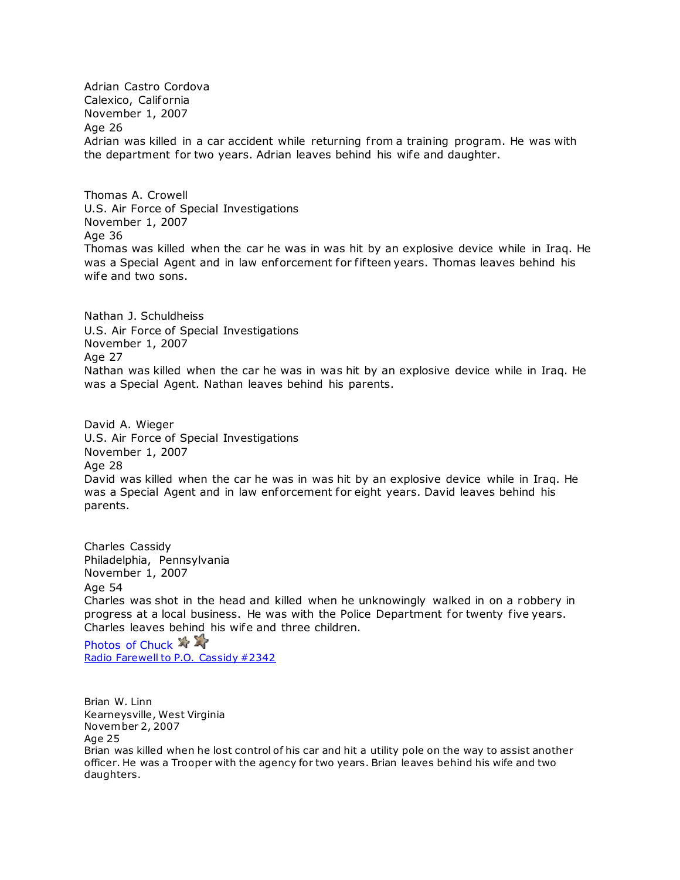Adrian Castro Cordova Calexico, California November 1, 2007 Age 26 Adrian was killed in a car accident while returning from a training program. He was with the department for two years. Adrian leaves behind his wife and daughter.

Thomas A. Crowell U.S. Air Force of Special Investigations November 1, 2007 Age 36 Thomas was killed when the car he was in was hit by an explosive device while in Iraq. He was a Special Agent and in law enforcement for fif teen years. Thomas leaves behind his wife and two sons.

Nathan J. Schuldheiss U.S. Air Force of Special Investigations November 1, 2007 Age 27 Nathan was killed when the car he was in was hit by an explosive device while in Iraq. He was a Special Agent. Nathan leaves behind his parents.

David A. Wieger U.S. Air Force of Special Investigations November 1, 2007 Age 28 David was killed when the car he was in was hit by an explosive device while in Iraq. He was a Special Agent and in law enforcement for eight years. David leaves behind his parents.

Charles Cassidy Philadelphia, Pennsylvania November 1, 2007 Age 54 Charles was shot in the head and killed when he unknowingly walked in on a robbery in progress at a local business. He was with the Police Department for twenty five years. Charles leaves behind his wife and three children.

Photos of Chuck  $\rightarrow$ [Radio Farewell to P.O. Cassidy #2342](http://www.copadorer.com/memorials/35S3.wav)

Brian W. Linn Kearneysville, West Virginia November 2, 2007 Age 25 Brian was killed when he lost control of his car and hit a utility pole on the way to assist another officer. He was a Trooper with the agency for two years. Brian leaves behind his wife and two daughters.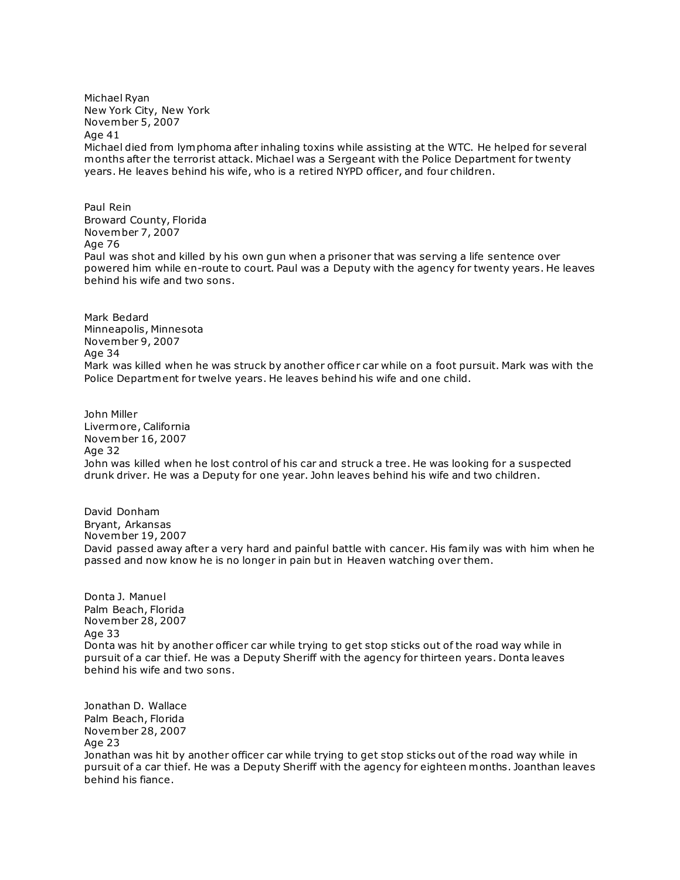Michael Ryan New York City, New York November 5, 2007 Age 41 Michael died from lymphoma after inhaling toxins while assisting at the WTC. He helped for several months after the terrorist attack. Michael was a Sergeant with the Police Department for twenty years. He leaves behind his wife, who is a retired NYPD officer, and four children.

Paul Rein Broward County, Florida November 7, 2007 Age 76 Paul was shot and killed by his own gun when a prisoner that was serving a life sentence over powered him while en-route to court. Paul was a Deputy with the agency for twenty years. He leaves behind his wife and two sons.

Mark Bedard Minneapolis, Minnesota November 9, 2007 Age 34 Mark was killed when he was struck by another officer car while on a foot pursuit. Mark was with the Police Department for twelve years. He leaves behind his wife and one child.

John Miller Livermore, California November 16, 2007 Age 32 John was killed when he lost control of his car and struck a tree. He was looking for a suspected drunk driver. He was a Deputy for one year. John leaves behind his wife and two children.

David Donham Bryant, Arkansas November 19, 2007 David passed away after a very hard and painful battle with cancer. His family was with him when he passed and now know he is no longer in pain but in Heaven watching over them.

Donta J. Manuel Palm Beach, Florida November 28, 2007 Age 33 Donta was hit by another officer car while trying to get stop sticks out of the road way while in pursuit of a car thief. He was a Deputy Sheriff with the agency for thirteen years. Donta leaves behind his wife and two sons.

Jonathan D. Wallace Palm Beach, Florida November 28, 2007 Age 23 Jonathan was hit by another officer car while trying to get stop sticks out of the road way while in pursuit of a car thief. He was a Deputy Sheriff with the agency for eighteen months. Joanthan leaves behind his fiance.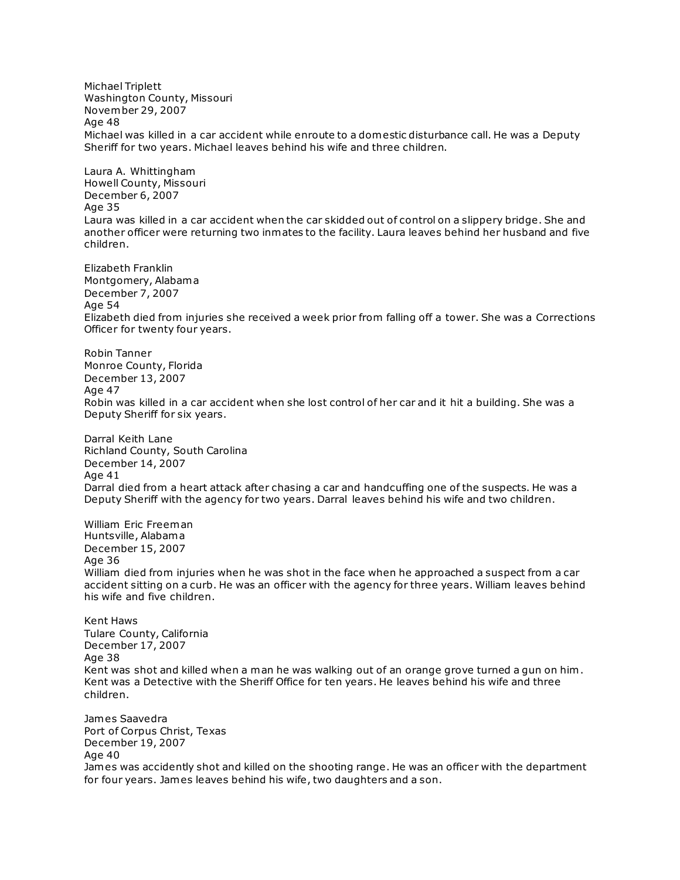Michael Triplett Washington County, Missouri November 29, 2007 Age 48 Michael was killed in a car accident while enroute to a domestic disturbance call. He was a Deputy Sheriff for two years. Michael leaves behind his wife and three children. Laura A. Whittingham Howell County, Missouri December 6, 2007 Age 35 Laura was killed in a car accident when the car skidded out of control on a slippery bridge. She and another officer were returning two inmates to the facility. Laura leaves behind her husband and five children. Elizabeth Franklin Montgomery, Alabama December 7, 2007 Age 54 Elizabeth died from injuries she received a week prior from falling off a tower. She was a Corrections Officer for twenty four years. Robin Tanner Monroe County, Florida December 13, 2007 Age 47 Robin was killed in a car accident when she lost control of her car and it hit a building. She was a Deputy Sheriff for six years. Darral Keith Lane Richland County, South Carolina December 14, 2007 Age 41 Darral died from a heart attack after chasing a car and handcuffing one of the suspects. He was a Deputy Sheriff with the agency for two years. Darral leaves behind his wife and two children. William Eric Freeman Huntsville, Alabama December 15, 2007 Age 36 William died from injuries when he was shot in the face when he approached a suspect from a car accident sitting on a curb. He was an officer with the agency for three years. William leaves behind his wife and five children. Kent Haws Tulare County, California December 17, 2007 Age 38 Kent was shot and killed when a man he was walking out of an orange grove turned a gun on him . Kent was a Detective with the Sheriff Office for ten years. He leaves behind his wife and three children. James Saavedra Port of Corpus Christ, Texas December 19, 2007

Age 40

James was accidently shot and killed on the shooting range. He was an officer with the department for four years. James leaves behind his wife, two daughters and a son.